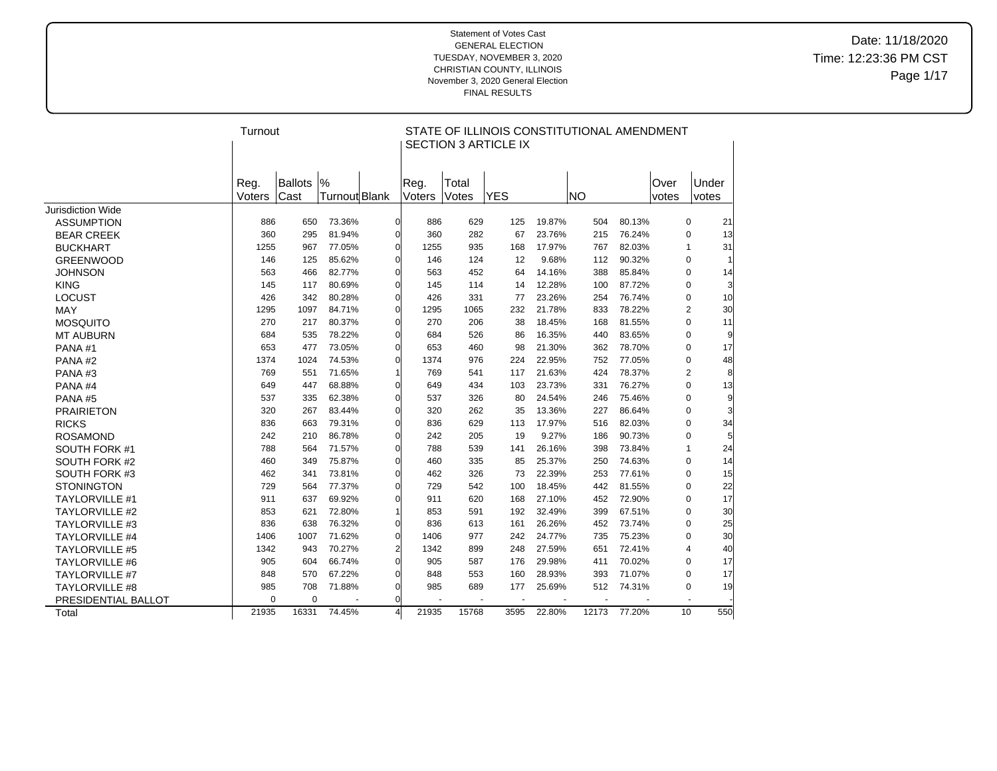Date: 11/18/2020 Time: 12:23:36 PM CST Page 1/17

|                       | Turnout        |                 |                    |                |                |                | STATE OF ILLINOIS CONSTITUTIONAL AMENDMENT<br><b>SECTION 3 ARTICLE IX</b> |        |           |        |               |                      |
|-----------------------|----------------|-----------------|--------------------|----------------|----------------|----------------|---------------------------------------------------------------------------|--------|-----------|--------|---------------|----------------------|
|                       | Reg.<br>Voters | Ballots<br>Cast | %<br>Turnout Blank |                | Reg.<br>Voters | Total<br>Votes | <b>YES</b>                                                                |        | <b>NO</b> |        | Over<br>votes | Under<br>votes       |
| Jurisdiction Wide     |                |                 |                    |                |                |                |                                                                           |        |           |        |               |                      |
| <b>ASSUMPTION</b>     | 886            | 650             | 73.36%             | $\Omega$       | 886            | 629            | 125                                                                       | 19.87% | 504       | 80.13% |               | 21<br>$\mathbf 0$    |
| <b>BEAR CREEK</b>     | 360            | 295             | 81.94%             | $\Omega$       | 360            | 282            | 67                                                                        | 23.76% | 215       | 76.24% |               | 0<br>13              |
| <b>BUCKHART</b>       | 1255           | 967             | 77.05%             | $\mathbf 0$    | 1255           | 935            | 168                                                                       | 17.97% | 767       | 82.03% |               | 31<br>$\mathbf{1}$   |
| <b>GREENWOOD</b>      | 146            | 125             | 85.62%             | 0              | 146            | 124            | 12                                                                        | 9.68%  | 112       | 90.32% |               | 0                    |
| <b>JOHNSON</b>        | 563            | 466             | 82.77%             | 0              | 563            | 452            | 64                                                                        | 14.16% | 388       | 85.84% |               | 0<br>14              |
| <b>KING</b>           | 145            | 117             | 80.69%             | 0              | 145            | 114            | 14                                                                        | 12.28% | 100       | 87.72% |               | 0<br>3               |
| <b>LOCUST</b>         | 426            | 342             | 80.28%             | 0              | 426            | 331            | 77                                                                        | 23.26% | 254       | 76.74% |               | 0<br>10              |
| MAY                   | 1295           | 1097            | 84.71%             | 0              | 1295           | 1065           | 232                                                                       | 21.78% | 833       | 78.22% |               | 30<br>2              |
| <b>MOSQUITO</b>       | 270            | 217             | 80.37%             | 0              | 270            | 206            | 38                                                                        | 18.45% | 168       | 81.55% |               | $\mathbf 0$<br>11    |
| <b>MT AUBURN</b>      | 684            | 535             | 78.22%             | 0              | 684            | 526            | 86                                                                        | 16.35% | 440       | 83.65% |               | $\mathbf 0$<br>9     |
| PANA#1                | 653            | 477             | 73.05%             | 0              | 653            | 460            | 98                                                                        | 21.30% | 362       | 78.70% |               | $\mathbf 0$<br>17    |
| PANA#2                | 1374           | 1024            | 74.53%             | 0              | 1374           | 976            | 224                                                                       | 22.95% | 752       | 77.05% |               | 0<br>48              |
| PANA#3                | 769            | 551             | 71.65%             |                | 769            | 541            | 117                                                                       | 21.63% | 424       | 78.37% |               | 2<br>8               |
| PANA#4                | 649            | 447             | 68.88%             | $\Omega$       | 649            | 434            | 103                                                                       | 23.73% | 331       | 76.27% |               | $\mathbf 0$<br>13    |
| PANA#5                | 537            | 335             | 62.38%             | 0              | 537            | 326            | 80                                                                        | 24.54% | 246       | 75.46% |               | 0<br>9               |
| <b>PRAIRIETON</b>     | 320            | 267             | 83.44%             | 0              | 320            | 262            | 35                                                                        | 13.36% | 227       | 86.64% |               | $\mathbf 0$          |
| <b>RICKS</b>          | 836            | 663             | 79.31%             | 0              | 836            | 629            | 113                                                                       | 17.97% | 516       | 82.03% |               | 0<br>34              |
| <b>ROSAMOND</b>       | 242            | 210             | 86.78%             | 0              | 242            | 205            | 19                                                                        | 9.27%  | 186       | 90.73% |               | $\mathbf 0$<br>5     |
| SOUTH FORK #1         | 788            | 564             | 71.57%             | 0              | 788            | 539            | 141                                                                       | 26.16% | 398       | 73.84% |               | 24<br>$\mathbf{1}$   |
| SOUTH FORK #2         | 460            | 349             | 75.87%             | 0              | 460            | 335            | 85                                                                        | 25.37% | 250       | 74.63% |               | 0<br>14              |
| SOUTH FORK #3         | 462            | 341             | 73.81%             | 0              | 462            | 326            | 73                                                                        | 22.39% | 253       | 77.61% |               | $\mathbf 0$<br>15    |
| <b>STONINGTON</b>     | 729            | 564             | 77.37%             | 0              | 729            | 542            | 100                                                                       | 18.45% | 442       | 81.55% |               | 22<br>0              |
| <b>TAYLORVILLE #1</b> | 911            | 637             | 69.92%             | 0              | 911            | 620            | 168                                                                       | 27.10% | 452       | 72.90% |               | $\mathbf 0$<br>17    |
| TAYLORVILLE #2        | 853            | 621             | 72.80%             |                | 853            | 591            | 192                                                                       | 32.49% | 399       | 67.51% |               | $\mathbf 0$<br>30    |
| <b>TAYLORVILLE #3</b> | 836            | 638             | 76.32%             | 0              | 836            | 613            | 161                                                                       | 26.26% | 452       | 73.74% |               | 25<br>0              |
| <b>TAYLORVILLE #4</b> | 1406           | 1007            | 71.62%             | 0              | 1406           | 977            | 242                                                                       | 24.77% | 735       | 75.23% |               | $\mathbf 0$<br>30    |
| <b>TAYLORVILLE #5</b> | 1342           | 943             | 70.27%             | $\overline{2}$ | 1342           | 899            | 248                                                                       | 27.59% | 651       | 72.41% |               | 40<br>$\overline{4}$ |
| <b>TAYLORVILLE #6</b> | 905            | 604             | 66.74%             | $\Omega$       | 905            | 587            | 176                                                                       | 29.98% | 411       | 70.02% |               | 17<br>0              |
| <b>TAYLORVILLE #7</b> | 848            | 570             | 67.22%             | 0              | 848            | 553            | 160                                                                       | 28.93% | 393       | 71.07% |               | $\mathbf 0$<br>17    |
| <b>TAYLORVILLE #8</b> | 985            | 708             | 71.88%             | 0              | 985            | 689            | 177                                                                       | 25.69% | 512       | 74.31% |               | 19<br>0              |
| PRESIDENTIAL BALLOT   | $\Omega$       | 0               |                    | O              |                |                |                                                                           |        |           |        |               |                      |
| Total                 | 21935          | 16331           | 74.45%             |                | 21935          | 15768          | 3595                                                                      | 22.80% | 12173     | 77.20% |               | 10<br>550            |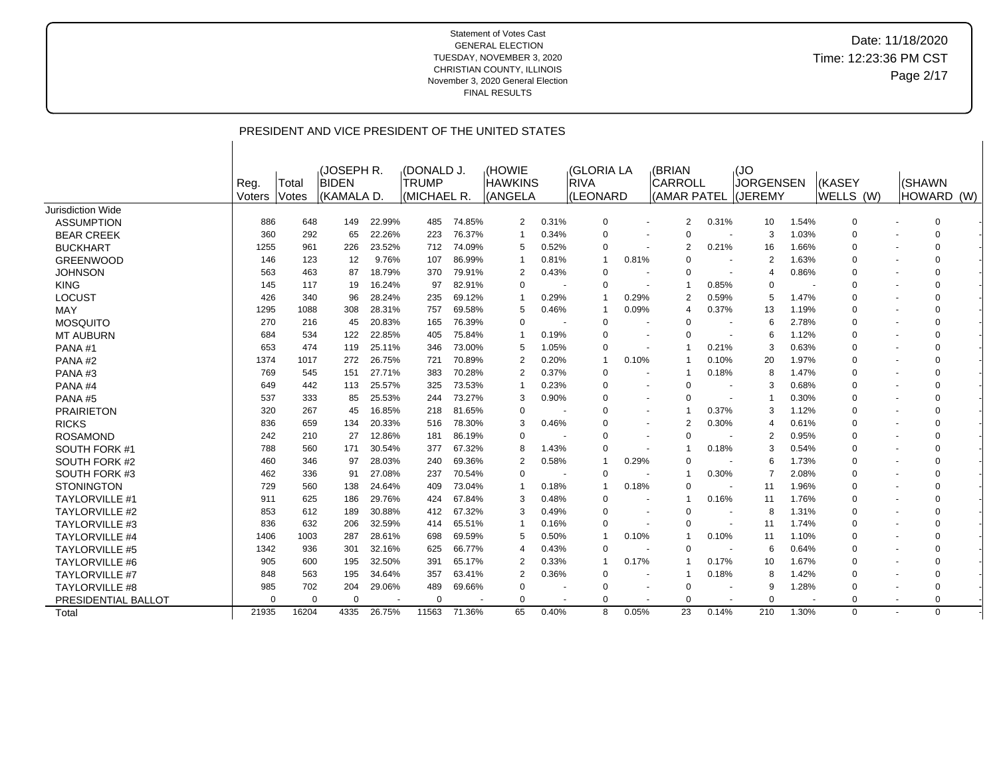|                       |          |          |                     |        |                            |        | PRESIDENT AND VICE PRESIDENT OF THE UNITED STATES |                          |                                  |       |                          |                          |                          |       |                |             |  |
|-----------------------|----------|----------|---------------------|--------|----------------------------|--------|---------------------------------------------------|--------------------------|----------------------------------|-------|--------------------------|--------------------------|--------------------------|-------|----------------|-------------|--|
|                       | Reg.     | Total    | (JOSEPH R.<br>BIDEN |        | (DONALD J.<br><b>TRUMP</b> |        | <b>HOWIE</b><br><b>HAWKINS</b>                    |                          | <b>(GLORIA LA</b><br><b>RIVA</b> |       | (BRIAN<br><b>CARROLL</b> |                          | ,(JO<br><b>JORGENSEN</b> |       | (KASEY         | I(SHAWN     |  |
|                       | Voters   | Votes    | (KAMALA D.          |        | (MICHAEL R.                |        | (ANGELA                                           |                          | (LEONARD                         |       | (AMAR PATEL              |                          | (JEREMY                  |       | WELLS (W)      | HOWARD (W)  |  |
| Jurisdiction Wide     |          |          |                     |        |                            |        |                                                   |                          |                                  |       |                          |                          |                          |       |                |             |  |
| <b>ASSUMPTION</b>     | 886      | 648      | 149                 | 22.99% | 485                        | 74.85% | 2                                                 | 0.31%                    | 0                                |       | 2                        | 0.31%                    | 10                       | 1.54% | 0              | $\mathbf 0$ |  |
| <b>BEAR CREEK</b>     | 360      | 292      | 65                  | 22.26% | 223                        | 76.37% | 1                                                 | 0.34%                    | $\overline{0}$                   |       | $\Omega$                 | $\overline{\phantom{a}}$ | 3                        | 1.03% | $\overline{0}$ | $\Omega$    |  |
| <b>BUCKHART</b>       | 1255     | 961      | 226                 | 23.52% | 712                        | 74.09% | 5                                                 | 0.52%                    | 0                                |       | 2                        | 0.21%                    | 16                       | 1.66% | $\overline{0}$ | O           |  |
| <b>GREENWOOD</b>      | 146      | 123      | 12                  | 9.76%  | 107                        | 86.99% | 1                                                 | 0.81%                    | -1                               | 0.81% |                          |                          | 2                        | 1.63% | $\overline{0}$ | ∩           |  |
| <b>JOHNSON</b>        | 563      | 463      | 87                  | 18.79% | 370                        | 79.91% | 2                                                 | 0.43%                    | 0                                |       | 0                        |                          | 4                        | 0.86% | $\overline{0}$ |             |  |
| <b>KING</b>           | 145      | 117      | 19                  | 16.24% | 97                         | 82.91% | $\Omega$                                          |                          | 0                                |       | -1                       | 0.85%                    | 0                        |       | 0              | 0           |  |
| <b>LOCUST</b>         | 426      | 340      | 96                  | 28.24% | 235                        | 69.12% |                                                   | 0.29%                    | -1                               | 0.29% | $\overline{2}$           | 0.59%                    | 5                        | 1.47% | $\overline{0}$ | $\Omega$    |  |
| <b>MAY</b>            | 1295     | 1088     | 308                 | 28.31% | 757                        | 69.58% | 5                                                 | 0.46%                    | -1                               | 0.09% | 4                        | 0.37%                    | 13                       | 1.19% | $\overline{0}$ | $\Omega$    |  |
| <b>MOSQUITO</b>       | 270      | 216      | 45                  | 20.83% | 165                        | 76.39% | $\mathbf 0$                                       | $\overline{\phantom{a}}$ | $\overline{0}$                   |       | $\Omega$                 | $\overline{\phantom{a}}$ | 6                        | 2.78% | $\overline{0}$ | $\Omega$    |  |
| <b>MT AUBURN</b>      | 684      | 534      | 122                 | 22.85% | 405                        | 75.84% | 1                                                 | 0.19%                    | $\overline{0}$                   |       | $\Omega$                 | <b>.</b>                 | 6                        | 1.12% | 0              | $\Omega$    |  |
| PANA#1                | 653      | 474      | 119                 | 25.11% | 346                        | 73.00% | 5                                                 | 1.05%                    | $\Omega$                         |       | $\overline{1}$           | 0.21%                    | 3                        | 0.63% | $\Omega$       | $\Omega$    |  |
| PANA#2                | 1374     | 1017     | 272                 | 26.75% | 721                        | 70.89% | 2                                                 | 0.20%                    | $\overline{1}$                   | 0.10% |                          | 0.10%                    | 20                       | 1.97% | $\Omega$       | $\Omega$    |  |
| PANA#3                | 769      | 545      | 151                 | 27.71% | 383                        | 70.28% | $\overline{2}$                                    | 0.37%                    | $\Omega$                         |       |                          | 0.18%                    | 8                        | 1.47% | $\mathbf 0$    | $\Omega$    |  |
| PANA#4                | 649      | 442      | 113                 | 25.57% | 325                        | 73.53% |                                                   | 0.23%                    | $\overline{0}$                   |       | $\Omega$                 | $\overline{\phantom{a}}$ | 3                        | 0.68% | $\Omega$       | $\Omega$    |  |
| PANA#5                | 537      | 333      | 85                  | 25.53% | 244                        | 73.27% | 3                                                 | 0.90%                    | $\Omega$                         |       | $\Omega$                 |                          |                          | 0.30% | $\Omega$       | $\Omega$    |  |
| <b>PRAIRIETON</b>     | 320      | 267      | 45                  | 16.85% | 218                        | 81.65% | $\Omega$                                          |                          | $\Omega$                         |       |                          | 0.37%                    | 3                        | 1.12% | $\mathbf 0$    | $\Omega$    |  |
| <b>RICKS</b>          | 836      | 659      | 134                 | 20.33% | 516                        | 78.30% | 3                                                 | 0.46%                    | 0                                |       | $\overline{2}$           | 0.30%                    | 4                        | 0.61% | $\mathbf 0$    | $\Omega$    |  |
| <b>ROSAMOND</b>       | 242      | 210      | 27                  | 12.86% | 181                        | 86.19% | $\Omega$                                          |                          | 0                                |       | $\Omega$                 |                          | 2                        | 0.95% | $\overline{0}$ |             |  |
| SOUTH FORK #1         | 788      | 560      | 171                 | 30.54% | 377                        | 67.32% | 8                                                 | 1.43%                    | $\overline{0}$                   |       |                          | 0.18%                    | 3                        | 0.54% | $\overline{0}$ | $\Omega$    |  |
| SOUTH FORK #2         | 460      | 346      | 97                  | 28.03% | 240                        | 69.36% | $\overline{2}$                                    | 0.58%                    | $\overline{1}$                   | 0.29% | $\Omega$                 | $\overline{\phantom{a}}$ | 6                        | 1.73% | $\Omega$       | $\Omega$    |  |
| SOUTH FORK #3         | 462      | 336      | 91                  | 27.08% | 237                        | 70.54% | $\Omega$                                          | ۰.                       | $\overline{0}$                   |       |                          | 0.30%                    | $\overline{7}$           | 2.08% | $\overline{0}$ | $\Omega$    |  |
| <b>STONINGTON</b>     | 729      | 560      | 138                 | 24.64% | 409                        | 73.04% | 1                                                 | 0.18%                    | -1                               | 0.18% | $\Omega$                 | $\overline{\phantom{a}}$ | 11                       | 1.96% | $\overline{0}$ | $\Omega$    |  |
| <b>TAYLORVILLE #1</b> | 911      | 625      | 186                 | 29.76% | 424                        | 67.84% | 3                                                 | 0.48%                    | $\overline{0}$                   |       |                          | 0.16%                    | 11                       | 1.76% | 0              | $\Omega$    |  |
| <b>TAYLORVILLE #2</b> | 853      | 612      | 189                 | 30.88% | 412                        | 67.32% | 3                                                 | 0.49%                    | $\overline{0}$                   |       | $\Omega$                 |                          | 8                        | 1.31% | 0              | $\Omega$    |  |
| <b>TAYLORVILLE #3</b> | 836      | 632      | 206                 | 32.59% | 414                        | 65.51% | 1                                                 | 0.16%                    | 0                                |       | $\Omega$                 | $\overline{\phantom{a}}$ | 11                       | 1.74% | 0              | $\Omega$    |  |
| TAYLORVILLE #4        | 1406     | 1003     | 287                 | 28.61% | 698                        | 69.59% | 5                                                 | 0.50%                    | -1                               | 0.10% |                          | 0.10%                    | 11                       | 1.10% | $\Omega$       | $\Omega$    |  |
| <b>TAYLORVILLE #5</b> | 1342     | 936      | 301                 | 32.16% | 625                        | 66.77% | 4                                                 | 0.43%                    | $\overline{0}$                   |       | $\Omega$                 |                          | 6                        | 0.64% | $\Omega$       | O           |  |
| <b>TAYLORVILLE #6</b> | 905      | 600      | 195                 | 32.50% | 391                        | 65.17% | 2                                                 | 0.33%                    | -1                               | 0.17% |                          | 0.17%                    | 10                       | 1.67% | 0              |             |  |
| <b>TAYLORVILLE #7</b> | 848      | 563      | 195                 | 34.64% | 357                        | 63.41% | $\overline{2}$                                    | 0.36%                    | 0                                |       |                          | 0.18%                    | 8                        | 1.42% | 0              |             |  |
| <b>TAYLORVILLE #8</b> | 985      | 702      | 204                 | 29.06% | 489                        | 69.66% | 0                                                 |                          | 0                                |       | $\Omega$                 |                          | 9                        | 1.28% | 0              |             |  |
| PRESIDENTIAL BALLOT   | $\Omega$ | $\Omega$ | $\Omega$            |        | $\Omega$                   |        | $\Omega$                                          |                          | 0                                |       | $\Omega$                 |                          | 0                        |       | $\mathbf 0$    | $\Omega$    |  |
|                       | 21935    | 16204    | 4335                | 26.75% | 11563                      | 71.36% | 65                                                | 0.40%                    | 8                                | 0.05% | 23                       | 0.14%                    | 210                      | 1.30% | $\mathbf 0$    | $\Omega$    |  |
| Total                 |          |          |                     |        |                            |        |                                                   |                          |                                  |       |                          |                          |                          |       |                |             |  |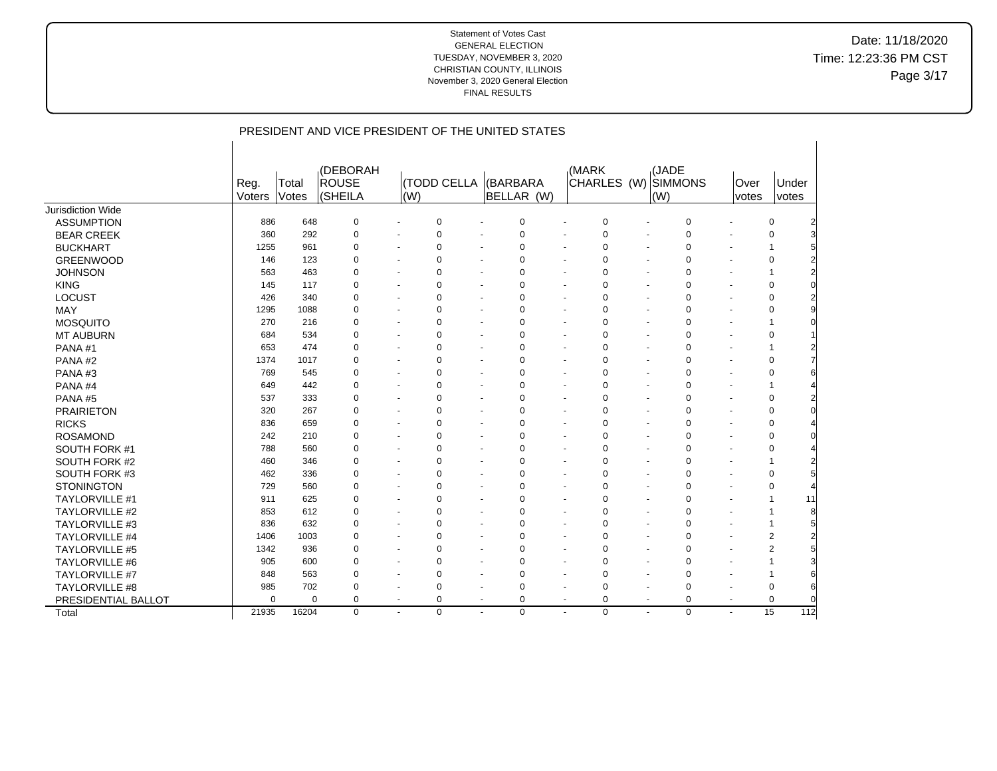Date: 11/18/2020 Time: 12:23:36 PM CST Page 3/17

|                       |                |                | PRESIDENT AND VICE PRESIDENT OF THE UNITED STATES |                              |                    |                          |                        |                                            |                          |                                     |                              |                |
|-----------------------|----------------|----------------|---------------------------------------------------|------------------------------|--------------------|--------------------------|------------------------|--------------------------------------------|--------------------------|-------------------------------------|------------------------------|----------------|
|                       | Reg.<br>Voters | Total<br>Votes | (DEBORAH<br><b>ROUSE</b><br>(SHEILA               | (W)                          | <b>(TODD CELLA</b> |                          | (BARBARA<br>BELLAR (W) | (MARK                                      |                          | (JADE<br>CHARLES (W) SIMMONS<br>(W) | Over<br>votes                | Under<br>votes |
| Jurisdiction Wide     |                |                |                                                   |                              |                    |                          |                        |                                            |                          |                                     |                              |                |
| <b>ASSUMPTION</b>     | 886            | 648            | 0                                                 | $\blacksquare$               | 0                  |                          | $\mathbf 0$            | $\mathbf 0$                                | $\ddot{\phantom{1}}$     | $\mathbf 0$                         | $\blacksquare$               | 0              |
| <b>BEAR CREEK</b>     | 360            | 292            | $\Omega$                                          |                              | 0                  |                          | $\mathbf 0$            | $\mathbf 0$                                | $\blacksquare$           | $\Omega$                            | $\blacksquare$               | $\mathbf 0$    |
| <b>BUCKHART</b>       | 1255           | 961            | 0                                                 | $\qquad \qquad \blacksquare$ | 0                  |                          | 0                      | $\mathbf 0$                                | $\overline{\phantom{a}}$ | $\Omega$                            | $\overline{\phantom{a}}$     | 1              |
| <b>GREENWOOD</b>      | 146            | 123            | 0                                                 |                              | 0                  |                          | 0                      | $\mathbf 0$                                | $\blacksquare$           | $\Omega$                            | $\blacksquare$               | $\mathbf 0$    |
| <b>JOHNSON</b>        | 563            | 463            | 0                                                 |                              | 0                  |                          | 0                      | 0                                          |                          | $\mathbf 0$                         | $\blacksquare$               | 1              |
| <b>KING</b>           | 145            | 117            | 0                                                 | $\blacksquare$               | 0                  |                          | 0                      | $\mathbf 0$                                | $\blacksquare$           | $\mathbf 0$                         | $\blacksquare$               | 0              |
| <b>LOCUST</b>         | 426            | 340            | 0                                                 | $\blacksquare$               | 0                  | $\overline{a}$           | $\mathbf 0$            | $\mathbf 0$<br>$\blacksquare$              | $\blacksquare$           | $\mathbf 0$                         | $\overline{\phantom{a}}$     | 0              |
| MAY                   | 1295           | 1088           | 0                                                 | ٠                            | 0                  |                          | 0                      | $\mathbf 0$                                | $\blacksquare$           | $\mathbf 0$                         | $\blacksquare$               | 0              |
| <b>MOSQUITO</b>       | 270            | 216            | 0                                                 | $\blacksquare$               | 0                  | $\overline{\phantom{a}}$ | 0                      | $\mathbf 0$<br>$\blacksquare$              | $\sim$                   | $\mathbf 0$                         | $\blacksquare$               | 1              |
| <b>MT AUBURN</b>      | 684            | 534            | $\Omega$                                          |                              | $\Omega$           |                          | 0                      | $\mathbf 0$                                | ٠                        | $\Omega$                            | $\blacksquare$               | 0              |
| PANA#1                | 653            | 474            | $\Omega$                                          | ٠                            | $\Omega$           |                          | 0                      | $\mathbf 0$                                | $\blacksquare$           | $\Omega$                            | $\qquad \qquad \blacksquare$ | 1              |
| PANA#2                | 1374           | 1017           | $\Omega$                                          | ٠                            | $\Omega$           |                          | $\Omega$               | $\mathbf 0$<br>$\blacksquare$              | $\overline{\phantom{a}}$ | $\Omega$                            | $\blacksquare$               | $\mathbf 0$    |
| PANA#3                | 769            | 545            | $\Omega$                                          |                              | 0                  |                          | 0                      | $\mathbf 0$                                | $\blacksquare$           | $\Omega$                            | $\blacksquare$               | 0              |
| PANA#4                | 649            | 442            | 0                                                 | ٠                            | 0                  |                          | 0                      | $\mathbf 0$                                |                          | 0                                   | $\blacksquare$               | 1              |
| PANA#5                | 537            | 333            | 0                                                 |                              | 0                  |                          | 0                      | $\mathbf 0$                                |                          | $\mathbf 0$                         | $\overline{\phantom{a}}$     | 0              |
| <b>PRAIRIETON</b>     | 320            | 267            | 0                                                 |                              | $\Omega$           |                          | 0                      | $\mathbf 0$                                |                          | $\mathbf 0$                         | $\ddot{\phantom{1}}$         | $\mathbf 0$    |
| <b>RICKS</b>          | 836            | 659            | 0                                                 | ٠                            | 0                  |                          | 0                      | $\mathbf 0$<br>$\overline{\phantom{a}}$    | $\overline{\phantom{a}}$ | $\mathbf 0$                         | $\overline{\phantom{a}}$     | $\mathbf 0$    |
| <b>ROSAMOND</b>       | 242            | 210            | 0                                                 | ٠                            | 0                  |                          | 0                      | $\overline{0}$<br>$\overline{\phantom{a}}$ | $\blacksquare$           | $\overline{0}$                      | $\blacksquare$               | $\mathbf 0$    |
| SOUTH FORK #1         | 788            | 560            | $\Omega$                                          | ٠                            | $\Omega$           |                          | $\mathbf 0$            | $\Omega$                                   | $\overline{\phantom{a}}$ | $\Omega$                            | $\overline{a}$               | $\mathbf 0$    |
| SOUTH FORK #2         | 460            | 346            | 0                                                 | ٠                            | 0                  | $\sim$                   | 0                      | $\mathbf 0$<br>$\blacksquare$              | $\overline{\phantom{a}}$ | $\mathbf 0$                         | $\overline{\phantom{a}}$     | $\mathbf{1}$   |
| SOUTH FORK #3         | 462            | 336            | 0                                                 | ٠                            | 0                  |                          | 0                      | $\mathbf 0$                                | $\blacksquare$           | $\mathbf 0$                         | $\blacksquare$               | $\mathbf 0$    |
| <b>STONINGTON</b>     | 729            | 560            | 0                                                 | $\blacksquare$               | 0                  | $\sim$                   | 0                      | $\mathbf 0$<br>$\blacksquare$              | $\sim$                   | $\mathbf 0$                         | $\sim$                       | 0              |
| <b>TAYLORVILLE #1</b> | 911            | 625            | 0                                                 | $\blacksquare$               | 0                  | $\sim$                   | 0                      | $\mathbf 0$<br>$\blacksquare$              | $\overline{\phantom{a}}$ | $\mathbf 0$                         | $\blacksquare$               | 1<br>11        |
| TAYLORVILLE #2        | 853            | 612            | $\Omega$                                          | $\blacksquare$               | 0                  |                          | 0                      | $\mathbf 0$<br>$\overline{\phantom{a}}$    | $\blacksquare$           | $\Omega$                            | $\blacksquare$               | 8<br>1         |
| TAYLORVILLE #3        | 836            | 632            | $\Omega$                                          | ٠                            | $\Omega$           |                          | $\Omega$               | $\mathbf 0$                                | $\overline{\phantom{a}}$ | $\Omega$                            | $\overline{\phantom{a}}$     | $\mathbf{1}$   |
| TAYLORVILLE #4        | 1406           | 1003           | 0                                                 |                              | 0                  |                          | 0                      | $\mathbf 0$                                | $\overline{\phantom{a}}$ | $\Omega$                            | $\overline{\phantom{a}}$     | $\overline{2}$ |
| <b>TAYLORVILLE #5</b> | 1342           | 936            | $\Omega$                                          |                              | $\Omega$           |                          | $\mathbf 0$            | $\mathbf 0$                                |                          | $\mathbf 0$                         | $\blacksquare$               | $\overline{2}$ |
| TAYLORVILLE #6        | 905            | 600            | 0                                                 | $\blacksquare$               | 0                  |                          | 0                      | $\mathbf 0$<br>$\overline{\phantom{a}}$    | $\sim$                   | $\mathbf 0$                         | $\blacksquare$               | 1              |
| TAYLORVILLE #7        | 848            | 563            | 0                                                 | $\blacksquare$               | 0                  | $\overline{a}$           | $\mathbf 0$            | $\mathbf 0$<br>$\blacksquare$              | $\blacksquare$           | $\mathbf 0$                         | $\overline{\phantom{a}}$     | 1              |
| TAYLORVILLE #8        | 985            | 702            | 0                                                 |                              | 0                  |                          | $\Omega$               | $\mathbf 0$                                |                          | $\mathbf 0$                         | $\blacksquare$               | 0              |
| PRESIDENTIAL BALLOT   | $\mathbf 0$    | $\mathbf 0$    | 0                                                 | $\overline{a}$               | 0                  | $\sim$                   | 0                      | 0<br>$\blacksquare$                        | $\sim$                   | 0                                   | $\sim$                       | $\mathbf 0$    |
| Total                 | 21935          | 16204          | $\mathbf 0$                                       |                              | 0                  |                          | 0                      | $\overline{0}$                             |                          | $\mathbf 0$                         |                              | 15<br>112      |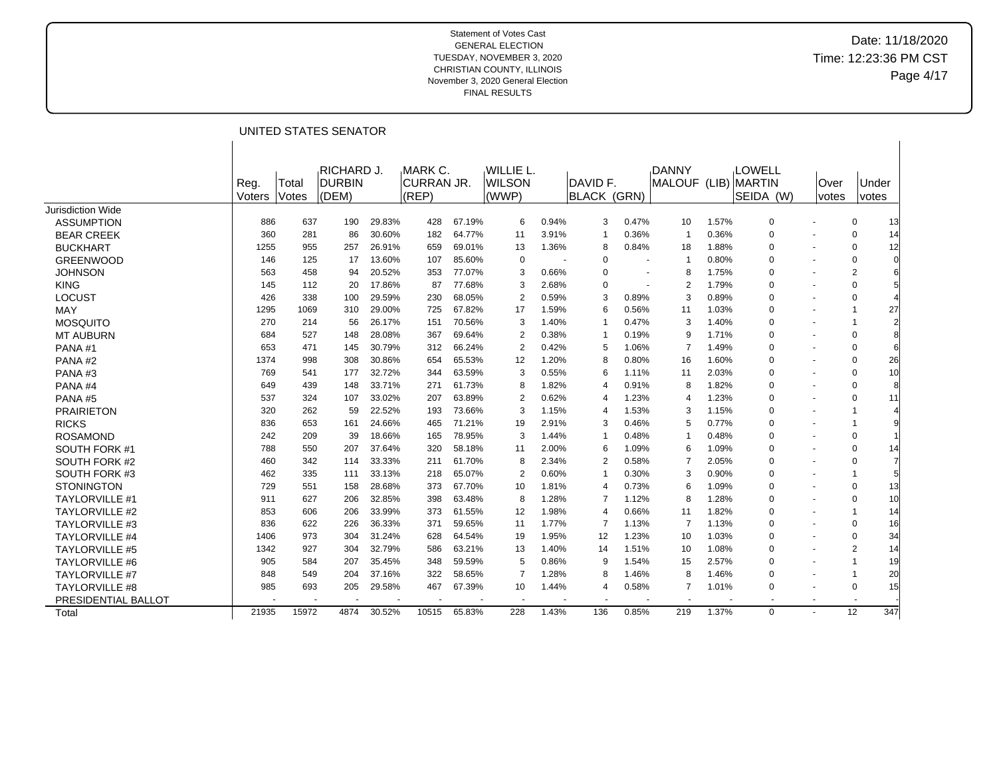### Date: 11/18/2020 Time: 12:23:36 PM CST Page 4/17

|                       |                |                | UNITED STATES SENATOR                       |        |                                 |        |                                             |       |                                       |                |                              |       |                                             |                |                |                |
|-----------------------|----------------|----------------|---------------------------------------------|--------|---------------------------------|--------|---------------------------------------------|-------|---------------------------------------|----------------|------------------------------|-------|---------------------------------------------|----------------|----------------|----------------|
|                       | Reg.<br>Voters | Total<br>Votes | <b>RICHARD J.</b><br><b>DURBIN</b><br>(DEM) |        | MARK C.<br>ICURRAN JR.<br>(REP) |        | <b>WILLIE L.</b><br><b>IWILSON</b><br>(WWP) |       | <b>DAVID F.</b><br><b>BLACK (GRN)</b> |                | <b>DANNY</b><br>MALOUF (LIB) |       | <b>LOWELL</b><br><b>MARTIN</b><br>SEIDA (W) | Over<br>votes  |                | Under<br>votes |
| Jurisdiction Wide     |                |                |                                             |        |                                 |        |                                             |       |                                       |                |                              |       |                                             |                |                |                |
| <b>ASSUMPTION</b>     | 886            | 637            | 190                                         | 29.83% | 428                             | 67.19% | 6                                           | 0.94% | 3                                     | 0.47%          | 10                           | 1.57% | 0                                           |                | 0              | 13             |
| <b>BEAR CREEK</b>     | 360            | 281            | 86                                          | 30.60% | 182                             | 64.77% | 11                                          | 3.91% | $\overline{1}$                        | 0.36%          | -1                           | 0.36% | $\Omega$                                    |                | 0              | 14             |
| <b>BUCKHART</b>       | 1255           | 955            | 257                                         | 26.91% | 659                             | 69.01% | 13                                          | 1.36% | 8                                     | 0.84%          | 18                           | 1.88% | 0                                           | $\blacksquare$ | $\Omega$       | 12             |
| <b>GREENWOOD</b>      | 146            | 125            | 17                                          | 13.60% | 107                             | 85.60% | 0                                           |       | $\Omega$                              |                | $\overline{1}$               | 0.80% | 0                                           |                | $\Omega$       | 0              |
| <b>JOHNSON</b>        | 563            | 458            | 94                                          | 20.52% | 353                             | 77.07% | 3                                           | 0.66% | $\Omega$                              | ٠              | 8                            | 1.75% | 0                                           | ٠              | $\overline{2}$ | 6              |
| <b>KING</b>           | 145            | 112            | 20                                          | 17.86% | 87                              | 77.68% | 3                                           | 2.68% | $\Omega$                              | $\blacksquare$ | 2                            | 1.79% | 0                                           | $\blacksquare$ | $\Omega$       | 5              |
| <b>LOCUST</b>         | 426            | 338            | 100                                         | 29.59% | 230                             | 68.05% | 2                                           | 0.59% | 3                                     | 0.89%          | 3                            | 0.89% | 0                                           | ٠              | $\Omega$       | 4              |
| <b>MAY</b>            | 1295           | 1069           | 310                                         | 29.00% | 725                             | 67.82% | 17                                          | 1.59% | 6                                     | 0.56%          | 11                           | 1.03% | 0                                           | $\blacksquare$ |                | 27             |
| <b>MOSQUITO</b>       | 270            | 214            | 56                                          | 26.17% | 151                             | 70.56% | 3                                           | 1.40% | -1                                    | 0.47%          | 3                            | 1.40% | 0                                           | ٠              |                | $\overline{2}$ |
| <b>MT AUBURN</b>      | 684            | 527            | 148                                         | 28.08% | 367                             | 69.64% | 2                                           | 0.38% | -1                                    | 0.19%          | 9                            | 1.71% | 0                                           | ٠              | $\Omega$       | 8              |
| PANA#1                | 653            | 471            | 145                                         | 30.79% | 312                             | 66.24% | $\overline{2}$                              | 0.42% | 5                                     | 1.06%          | $\overline{7}$               | 1.49% | 0                                           | ٠              | 0              | 6              |
| PANA#2                | 1374           | 998            | 308                                         | 30.86% | 654                             | 65.53% | 12                                          | 1.20% | 8                                     | 0.80%          | 16                           | 1.60% | 0                                           | ٠              | $\Omega$       | 26             |
| PANA#3                | 769            | 541            | 177                                         | 32.72% | 344                             | 63.59% | 3                                           | 0.55% | 6                                     | 1.11%          | 11                           | 2.03% | 0                                           | ٠              | 0              | 10             |
| PANA#4                | 649            | 439            | 148                                         | 33.71% | 271                             | 61.73% | 8                                           | 1.82% | 4                                     | 0.91%          | 8                            | 1.82% | 0                                           | ٠              | $\Omega$       | 8              |
| PANA#5                | 537            | 324            | 107                                         | 33.02% | 207                             | 63.89% | $\overline{2}$                              | 0.62% | 4                                     | 1.23%          | 4                            | 1.23% | 0                                           | ٠              | $\Omega$       | 11             |
| <b>PRAIRIETON</b>     | 320            | 262            | 59                                          | 22.52% | 193                             | 73.66% | 3                                           | 1.15% | 4                                     | 1.53%          | 3                            | 1.15% | 0                                           | ٠              |                | $\overline{4}$ |
| <b>RICKS</b>          | 836            | 653            | 161                                         | 24.66% | 465                             | 71.21% | 19                                          | 2.91% | 3                                     | 0.46%          | 5                            | 0.77% | 0                                           |                |                | 9              |
| <b>ROSAMOND</b>       | 242            | 209            | 39                                          | 18.66% | 165                             | 78.95% | 3                                           | 1.44% | -1                                    | 0.48%          | -1                           | 0.48% | 0                                           | ٠              | 0              |                |
| SOUTH FORK #1         | 788            | 550            | 207                                         | 37.64% | 320                             | 58.18% | 11                                          | 2.00% | 6                                     | 1.09%          | 6                            | 1.09% | 0                                           |                | $\Omega$       | 14             |
| SOUTH FORK #2         | 460            | 342            | 114                                         | 33.33% | 211                             | 61.70% | 8                                           | 2.34% | $\overline{2}$                        | 0.58%          | 7                            | 2.05% | $\Omega$                                    | ÷              | $\Omega$       | 7              |
| SOUTH FORK #3         | 462            | 335            | 111                                         | 33.13% | 218                             | 65.07% | 2                                           | 0.60% | -1                                    | 0.30%          | 3                            | 0.90% | 0                                           |                | 1              | 5              |
| <b>STONINGTON</b>     | 729            | 551            | 158                                         | 28.68% | 373                             | 67.70% | 10                                          | 1.81% | 4                                     | 0.73%          | 6                            | 1.09% | 0                                           | ٠              | 0              | 13             |
| <b>TAYLORVILLE #1</b> | 911            | 627            | 206                                         | 32.85% | 398                             | 63.48% | 8                                           | 1.28% | $\overline{7}$                        | 1.12%          | 8                            | 1.28% | 0                                           | ٠              | 0              | 10             |
| <b>TAYLORVILLE #2</b> | 853            | 606            | 206                                         | 33.99% | 373                             | 61.55% | 12                                          | 1.98% | $\overline{4}$                        | 0.66%          | 11                           | 1.82% | 0                                           |                | 1              | 14             |
| <b>TAYLORVILLE #3</b> | 836            | 622            | 226                                         | 36.33% | 371                             | 59.65% | 11                                          | 1.77% | $\overline{7}$                        | 1.13%          | $\overline{7}$               | 1.13% | 0                                           |                | $\Omega$       | 16             |
| <b>TAYLORVILLE #4</b> | 1406           | 973            | 304                                         | 31.24% | 628                             | 64.54% | 19                                          | 1.95% | $12 \overline{ }$                     | 1.23%          | 10                           | 1.03% | 0                                           | ٠              | $\Omega$       | 34             |
| <b>TAYLORVILLE #5</b> | 1342           | 927            | 304                                         | 32.79% | 586                             | 63.21% | 13                                          | 1.40% | 14                                    | 1.51%          | 10                           | 1.08% | 0                                           | $\blacksquare$ | $\overline{2}$ | 14             |
| <b>TAYLORVILLE #6</b> | 905            | 584            | 207                                         | 35.45% | 348                             | 59.59% | 5                                           | 0.86% | 9                                     | 1.54%          | 15                           | 2.57% | 0                                           | ٠              | 1              | 19             |
| <b>TAYLORVILLE #7</b> | 848            | 549            | 204                                         | 37.16% | 322                             | 58.65% | 7                                           | 1.28% | 8                                     | 1.46%          | 8                            | 1.46% | 0                                           | $\blacksquare$ |                | 20             |
| <b>TAYLORVILLE #8</b> | 985            | 693            | 205                                         | 29.58% | 467                             | 67.39% | 10                                          | 1.44% | 4                                     | 0.58%          | 7                            | 1.01% | 0                                           | ٠              | 0              | 15             |
| PRESIDENTIAL BALLOT   |                |                |                                             |        |                                 |        |                                             |       |                                       |                |                              |       |                                             | ٠              |                |                |
| Total                 | 21935          | 15972          | 4874                                        | 30.52% | 10515                           | 65.83% | 228                                         | 1.43% | 136                                   | 0.85%          | 219                          | 1.37% | $\mathbf 0$                                 |                | 12             | 347            |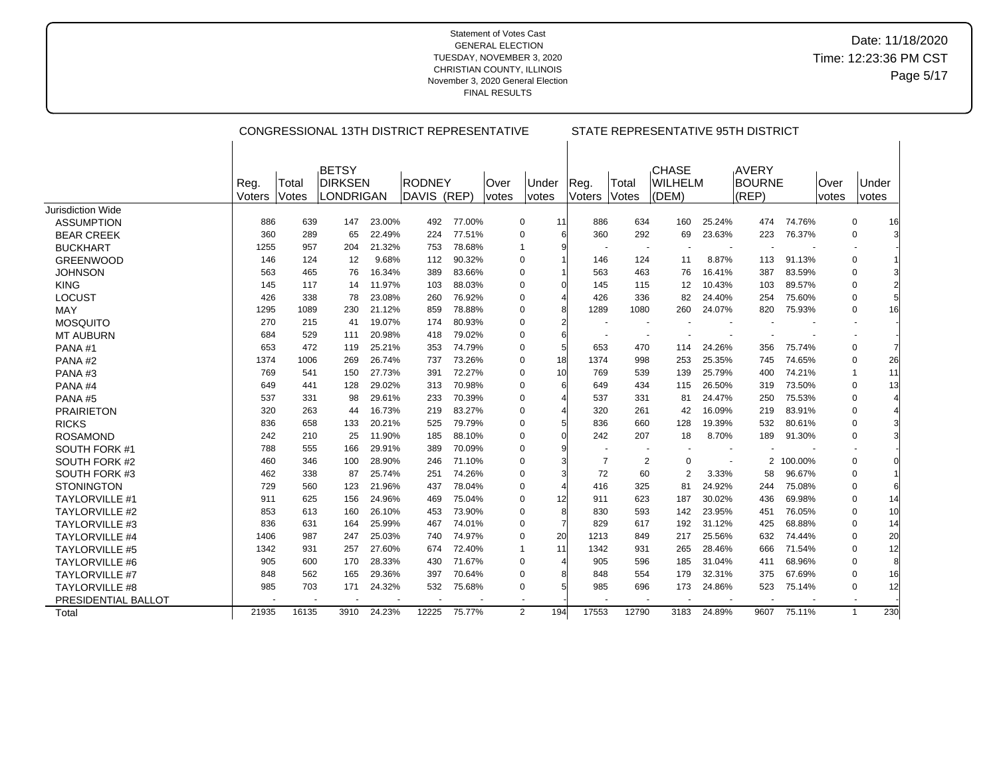|                          |                |                | CONGRESSIONAL 13TH DISTRICT REPRESENTATIVE  |        |                              |        |               |                |                |                          | STATE REPRESENTATIVE 95TH DISTRICT      |        |                          |         |                |                     |    |
|--------------------------|----------------|----------------|---------------------------------------------|--------|------------------------------|--------|---------------|----------------|----------------|--------------------------|-----------------------------------------|--------|--------------------------|---------|----------------|---------------------|----|
|                          | Reg.<br>Voters | Total<br>Votes | BETSY<br><b>DIRKSEN</b><br><b>LONDRIGAN</b> |        | <b>RODNEY</b><br>DAVIS (REP) |        | Over<br>votes | Under<br>votes | Reg.<br>Voters | Total<br>Votes           | <b>CHASE</b><br><b>WILHELM</b><br>(DEM) |        | AVERY<br>BOURNE<br>(REP) |         | lOver<br>votes | Under<br>votes      |    |
| <b>Jurisdiction Wide</b> |                |                |                                             |        |                              |        |               |                |                |                          |                                         |        |                          |         |                |                     |    |
| <b>ASSUMPTION</b>        | 886            | 639            | 147                                         | 23.00% | 492                          | 77.00% |               | 0              | 11<br>886      | 634                      | 160                                     | 25.24% | 474                      | 74.76%  |                | 0                   | 16 |
| <b>BEAR CREEK</b>        | 360            | 289            | 65                                          | 22.49% | 224                          | 77.51% |               | 0              | 360<br>6       | 292                      | 69                                      | 23.63% | 223                      | 76.37%  |                | 0                   | 3  |
| <b>BUCKHART</b>          | 1255           | 957            | 204                                         | 21.32% | 753                          | 78.68% |               | $\mathbf 1$    |                | $\overline{\phantom{a}}$ | $\overline{\phantom{a}}$                |        |                          |         |                |                     |    |
| <b>GREENWOOD</b>         | 146            | 124            | 12                                          | 9.68%  | 112                          | 90.32% |               | 0              | 146            | 124                      | 11                                      | 8.87%  | 113                      | 91.13%  |                | 0                   |    |
| <b>JOHNSON</b>           | 563            | 465            | 76                                          | 16.34% | 389                          | 83.66% |               | 0              | 563            | 463                      | 76                                      | 16.41% | 387                      | 83.59%  |                | $\mathbf 0$         |    |
| <b>KING</b>              | 145            | 117            | 14                                          | 11.97% | 103                          | 88.03% |               | 0              | 145            | 115                      | 12                                      | 10.43% | 103                      | 89.57%  |                | 0                   |    |
| LOCUST                   | 426            | 338            | 78                                          | 23.08% | 260                          | 76.92% |               | 0              | 426            | 336                      | 82                                      | 24.40% | 254                      | 75.60%  |                | 0                   |    |
| <b>MAY</b>               | 1295           | 1089           | 230                                         | 21.12% | 859                          | 78.88% |               | 0              | 1289           | 1080                     | 260                                     | 24.07% | 820                      | 75.93%  |                | 0                   | 16 |
| <b>MOSQUITO</b>          | 270            | 215            | 41                                          | 19.07% | 174                          | 80.93% |               | $\Omega$       |                |                          |                                         |        |                          |         |                |                     |    |
| <b>MT AUBURN</b>         | 684            | 529            | 111                                         | 20.98% | 418                          | 79.02% |               | 0              | 6              |                          | $\overline{\phantom{a}}$                |        |                          |         |                |                     |    |
| PANA#1                   | 653            | 472            | 119                                         | 25.21% | 353                          | 74.79% |               | $\mathbf 0$    | 653            | 470                      | 114                                     | 24.26% | 356                      | 75.74%  |                | $\mathbf 0$         |    |
| PANA#2                   | 1374           | 1006           | 269                                         | 26.74% | 737                          | 73.26% |               | $\mathbf 0$    | 18<br>1374     | 998                      | 253                                     | 25.35% | 745                      | 74.65%  |                | 0                   | 26 |
| PANA#3                   | 769            | 541            | 150                                         | 27.73% | 391                          | 72.27% |               | 0              | 10<br>769      | 539                      | 139                                     | 25.79% | 400                      | 74.21%  |                | 1                   | 11 |
| PANA#4                   | 649            | 441            | 128                                         | 29.02% | 313                          | 70.98% |               | 0              | 649            | 434                      | 115                                     | 26.50% | 319                      | 73.50%  |                | 0                   | 13 |
| PANA#5                   | 537            | 331            | 98                                          | 29.61% | 233                          | 70.39% |               | 0              | 537            | 331                      | 81                                      | 24.47% | 250                      | 75.53%  |                | $\mathbf 0$         |    |
| <b>PRAIRIETON</b>        | 320            | 263            | 44                                          | 16.73% | 219                          | 83.27% |               | 0              | 320            | 261                      | 42                                      | 16.09% | 219                      | 83.91%  |                | $\mathbf 0$         |    |
| <b>RICKS</b>             | 836            | 658            | 133                                         | 20.21% | 525                          | 79.79% |               | 0              | 836            | 660                      | 128                                     | 19.39% | 532                      | 80.61%  |                | 0                   |    |
| <b>ROSAMOND</b>          | 242            | 210            | 25                                          | 11.90% | 185                          | 88.10% |               | $\Omega$       | 242            | 207                      | 18                                      | 8.70%  | 189                      | 91.30%  |                | 0                   |    |
| SOUTH FORK #1            | 788            | 555            | 166                                         | 29.91% | 389                          | 70.09% |               | 0              |                |                          |                                         |        |                          |         |                |                     |    |
| SOUTH FORK #2            | 460            | 346            | 100                                         | 28.90% | 246                          | 71.10% |               | 0              |                | $\overline{7}$           | $\overline{c}$<br>0                     |        | 2                        | 100.00% |                | 0                   |    |
| SOUTH FORK #3            | 462            | 338            | 87                                          | 25.74% | 251                          | 74.26% |               | 0              | 72             | 60                       | $\overline{2}$                          | 3.33%  | 58                       | 96.67%  |                | $\pmb{0}$           |    |
| <b>STONINGTON</b>        | 729            | 560            | 123                                         | 21.96% | 437                          | 78.04% |               | $\mathbf 0$    | 416            | 325                      | 81                                      | 24.92% | 244                      | 75.08%  |                | 0                   |    |
| <b>TAYLORVILLE #1</b>    | 911            | 625            | 156                                         | 24.96% | 469                          | 75.04% |               | 0              | 911<br>12      | 623                      | 187                                     | 30.02% | 436                      | 69.98%  |                | 0                   | 14 |
| <b>TAYLORVILLE #2</b>    | 853            | 613            | 160                                         | 26.10% | 453                          | 73.90% |               | 0              | 830            | 593                      | 142                                     | 23.95% | 451                      | 76.05%  |                | 0                   | 10 |
| <b>TAYLORVILLE #3</b>    | 836            | 631            | 164                                         | 25.99% | 467                          | 74.01% |               | 0              | 829            | 617                      | 192                                     | 31.12% | 425                      | 68.88%  |                | 0                   | 14 |
| <b>TAYLORVILLE #4</b>    | 1406           | 987            | 247                                         | 25.03% | 740                          | 74.97% |               | 0              | 20<br>1213     | 849                      | 217                                     | 25.56% | 632                      | 74.44%  |                | 0                   | 20 |
| <b>TAYLORVILLE #5</b>    | 1342           | 931            | 257                                         | 27.60% | 674                          | 72.40% |               | -1             | 11<br>1342     | 931                      | 265                                     | 28.46% | 666                      | 71.54%  |                | 0                   | 12 |
| <b>TAYLORVILLE #6</b>    | 905            | 600            | 170                                         | 28.33% | 430                          | 71.67% |               | 0              | 905            | 596                      | 185                                     | 31.04% | 411                      | 68.96%  |                | 0                   | 8  |
| <b>TAYLORVILLE #7</b>    | 848            | 562            | 165                                         | 29.36% | 397                          | 70.64% |               | $\Omega$       | 848            | 554                      | 179                                     | 32.31% | 375                      | 67.69%  |                | 0                   | 16 |
| <b>TAYLORVILLE #8</b>    | 985            | 703            | 171                                         | 24.32% | 532                          | 75.68% |               | 0              | 985            | 696                      | 173                                     | 24.86% | 523                      | 75.14%  |                | 0                   | 12 |
| PRESIDENTIAL BALLOT      |                |                |                                             |        |                              |        |               |                |                |                          |                                         |        |                          |         |                |                     |    |
| Total                    | 21935          | 16135          | 3910                                        | 24.23% | 12225                        | 75.77% |               | 2              | 194<br>17553   | 12790                    | 3183                                    | 24.89% | 9607                     | 75.11%  |                | 230<br>$\mathbf{1}$ |    |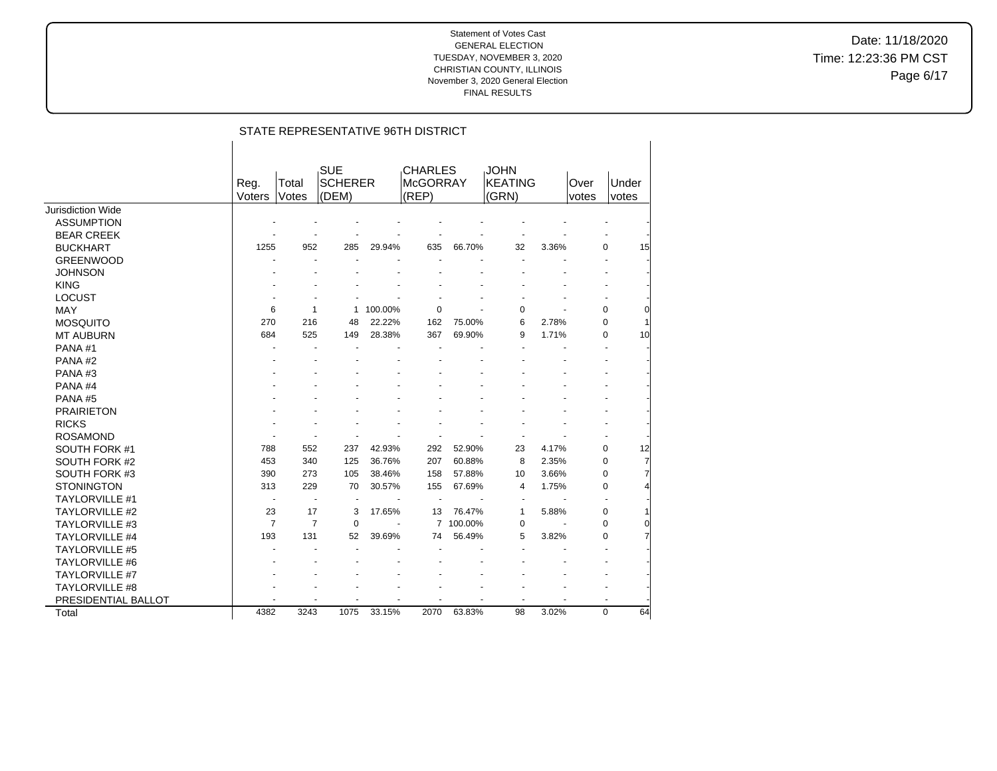Date: 11/18/2020 Time: 12:23:36 PM CST Page 6/17

|                       |                |                | STATE REPRESENTATIVE 96TH DISTRICT    |         |                                            |         |                                        |       |               |                                |
|-----------------------|----------------|----------------|---------------------------------------|---------|--------------------------------------------|---------|----------------------------------------|-------|---------------|--------------------------------|
|                       | Reg.<br>Voters | Total<br>Votes | <b>SUE</b><br><b>SCHERER</b><br>(DEM) |         | <b>CHARLES</b><br><b>McGORRAY</b><br>(REP) |         | <b>JOHN</b><br><b>KEATING</b><br>(GRN) |       | Over<br>votes | Under<br>votes                 |
| Jurisdiction Wide     |                |                |                                       |         |                                            |         |                                        |       |               |                                |
| <b>ASSUMPTION</b>     |                |                |                                       |         |                                            |         |                                        |       |               |                                |
| <b>BEAR CREEK</b>     |                |                |                                       |         |                                            |         |                                        |       |               |                                |
| <b>BUCKHART</b>       | 1255           | 952            | 285                                   | 29.94%  | 635                                        | 66.70%  | 32                                     | 3.36% |               | 0<br>15                        |
| <b>GREENWOOD</b>      |                |                |                                       |         |                                            |         |                                        |       |               |                                |
| <b>JOHNSON</b>        |                |                |                                       |         |                                            |         |                                        |       |               |                                |
| <b>KING</b>           |                |                |                                       |         |                                            |         |                                        |       |               |                                |
| <b>LOCUST</b>         |                |                |                                       |         |                                            |         |                                        |       |               |                                |
| <b>MAY</b>            | 6              | 1              |                                       | 100.00% | 0                                          |         | 0                                      |       |               | $\pmb{0}$<br>0                 |
| <b>MOSQUITO</b>       | 270            | 216            | 48                                    | 22.22%  | 162                                        | 75.00%  | 6                                      | 2.78% |               | $\pmb{0}$<br>1                 |
| <b>MT AUBURN</b>      | 684            | 525            | 149                                   | 28.38%  | 367                                        | 69.90%  | 9                                      | 1.71% |               | $\mathbf 0$<br>10 <sup>1</sup> |
| PANA#1                |                |                |                                       |         |                                            |         |                                        |       |               |                                |
| PANA#2                |                |                |                                       |         |                                            |         |                                        |       |               |                                |
| PANA#3                |                |                |                                       |         |                                            |         |                                        |       |               |                                |
| PANA#4                |                |                |                                       |         |                                            |         |                                        |       |               |                                |
| PANA#5                |                |                |                                       |         |                                            |         |                                        |       |               |                                |
| <b>PRAIRIETON</b>     |                |                |                                       |         |                                            |         |                                        |       |               |                                |
| <b>RICKS</b>          |                |                |                                       |         |                                            |         |                                        |       |               |                                |
| <b>ROSAMOND</b>       |                |                |                                       |         |                                            |         |                                        |       |               |                                |
| SOUTH FORK #1         | 788            | 552            | 237                                   | 42.93%  | 292                                        | 52.90%  | 23                                     | 4.17% |               | $\pmb{0}$<br>12                |
| SOUTH FORK #2         | 453            | 340            | 125                                   | 36.76%  | 207                                        | 60.88%  | 8                                      | 2.35% |               | $\overline{7}$<br>$\mathbf 0$  |
| SOUTH FORK #3         | 390            | 273            | 105                                   | 38.46%  | 158                                        | 57.88%  | 10                                     | 3.66% |               | $\pmb{0}$                      |
| <b>STONINGTON</b>     | 313            | 229            | 70                                    | 30.57%  | 155                                        | 67.69%  | 4                                      | 1.75% |               | 0                              |
| <b>TAYLORVILLE #1</b> | $\blacksquare$ | $\overline{a}$ |                                       |         | $\ddot{\phantom{1}}$                       |         | $\blacksquare$                         |       |               |                                |
| TAYLORVILLE #2        | 23             | 17             | 3                                     | 17.65%  | 13                                         | 76.47%  | 1                                      | 5.88% |               | 0                              |
| TAYLORVILLE #3        | $\overline{7}$ | $\overline{7}$ | $\Omega$                              |         | $\overline{7}$                             | 100.00% | 0                                      |       |               | $\mathbf 0$<br>$\Omega$        |
| <b>TAYLORVILLE #4</b> | 193            | 131            | 52                                    | 39.69%  | 74                                         | 56.49%  | 5                                      | 3.82% |               | $\mathbf 0$                    |
| <b>TAYLORVILLE #5</b> |                |                |                                       |         |                                            |         |                                        |       |               |                                |
| <b>TAYLORVILLE #6</b> |                |                |                                       |         |                                            |         |                                        |       |               |                                |
| <b>TAYLORVILLE #7</b> |                |                |                                       |         |                                            |         |                                        |       |               |                                |
| TAYLORVILLE #8        |                |                |                                       |         |                                            |         |                                        |       |               |                                |
| PRESIDENTIAL BALLOT   |                |                |                                       |         |                                            |         |                                        |       |               |                                |
| Total                 | 4382           | 3243           | 1075                                  | 33.15%  | 2070                                       | 63.83%  | 98                                     | 3.02% |               | $\mathbf 0$<br>64              |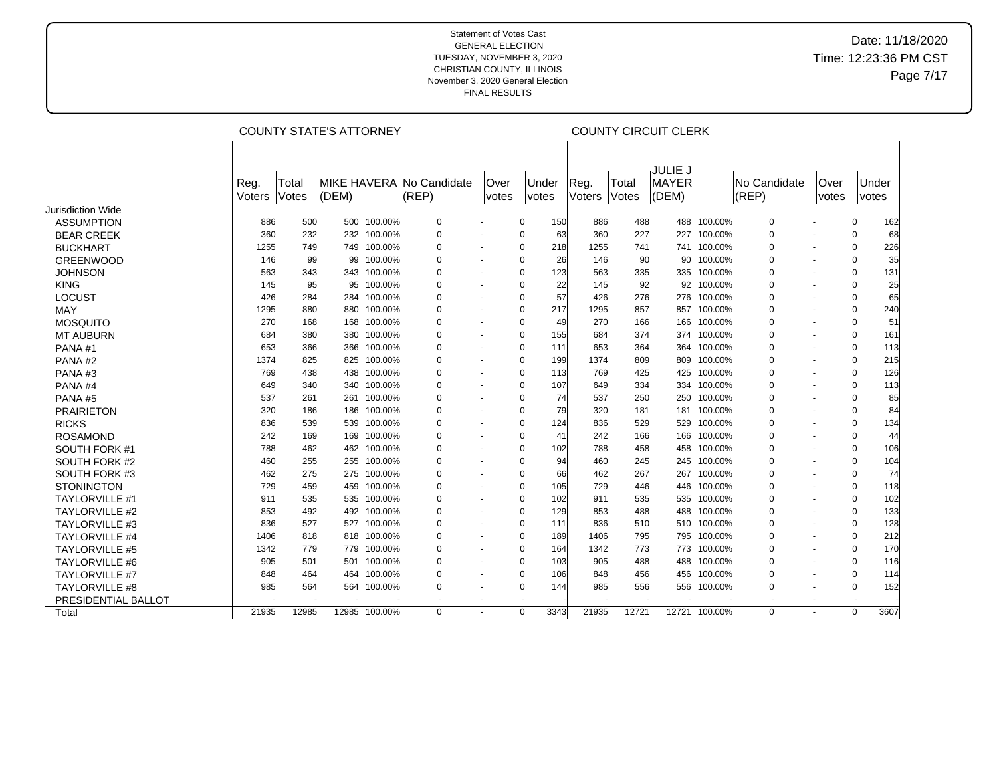## Date: 11/18/2020 Time: 12:23:36 PM CST Page 7/17

|                       |                |                | <b>COUNTY STATE'S ATTORNEY</b> |               |                                   |                          |             |                              |                |                | <b>COUNTY CIRCUIT CLERK</b>             |               |                              |                             |                |                       |
|-----------------------|----------------|----------------|--------------------------------|---------------|-----------------------------------|--------------------------|-------------|------------------------------|----------------|----------------|-----------------------------------------|---------------|------------------------------|-----------------------------|----------------|-----------------------|
|                       | Reg.<br>Voters | Total<br>Votes | (DEM)                          |               | MIKE HAVERA No Candidate<br>(REP) | <b>Over</b><br>votes     |             | <b>Under</b><br><i>votes</i> | Reg.<br>Voters | Total<br>Votes | <b>JULIE J</b><br><b>MAYER</b><br>(DEM) |               | <b>No Candidate</b><br>(REP) | <b>Over</b><br><i>votes</i> |                | Under<br><i>votes</i> |
| Jurisdiction Wide     |                |                |                                |               |                                   |                          |             |                              |                |                |                                         |               |                              |                             |                |                       |
| <b>ASSUMPTION</b>     | 886            | 500            |                                | 500 100.00%   | $\mathbf 0$                       |                          | $\mathbf 0$ | 150                          | 886            | 488            | 488                                     | 100.00%       | $\Omega$                     |                             | $\mathbf 0$    | 162                   |
| <b>BEAR CREEK</b>     | 360            | 232            |                                | 232 100.00%   | 0                                 |                          | 0           | 63                           | 360            | 227            | 227                                     | 100.00%       | 0                            |                             | 0              | 68                    |
| <b>BUCKHART</b>       | 1255           | 749            |                                | 749 100.00%   | 0                                 | $\overline{\phantom{a}}$ | 0           | 218                          | 1255           | 741            | 741                                     | 100.00%       | $\Omega$                     |                             | 0              | 226                   |
| <b>GREENWOOD</b>      | 146            | 99             | 99                             | 100.00%       | $\Omega$                          |                          | 0           | 26                           | 146            | 90             | 90                                      | 100.00%       | $\Omega$                     | $\overline{\phantom{a}}$    | 0              | 35                    |
| <b>JOHNSON</b>        | 563            | 343            |                                | 343 100.00%   | $\Omega$                          |                          | $\mathbf 0$ | 123                          | 563            | 335            | 335                                     | 100.00%       | $\Omega$                     | $\blacksquare$              | $\mathbf 0$    | 131                   |
| <b>KING</b>           | 145            | 95             |                                | 95 100.00%    | 0                                 |                          | 0           | 22                           | 145            | 92             | 92                                      | 100.00%       | $\Omega$                     | $\blacksquare$              | 0              | 25                    |
| <b>LOCUST</b>         | 426            | 284            | 284                            | 100.00%       | 0                                 | $\blacksquare$           | $\mathbf 0$ | 57                           | 426            | 276            | 276                                     | 100.00%       | $\Omega$                     | $\blacksquare$              | $\mathbf 0$    | 65                    |
| MAY                   | 1295           | 880            | 880                            | 100.00%       | 0                                 |                          | 0           | 217                          | 1295           | 857            | 857                                     | 100.00%       | $\Omega$                     |                             | 0              | 240                   |
| <b>MOSQUITO</b>       | 270            | 168            | 168                            | 100.00%       | 0                                 | $\sim$                   | $\mathbf 0$ | 49                           | 270            | 166            | 166                                     | 100.00%       | $\Omega$                     | $\overline{a}$              | 0              | 51                    |
| <b>MT AUBURN</b>      | 684            | 380            | 380                            | 100.00%       | $\mathbf 0$                       | $\blacksquare$           | $\mathbf 0$ | 155                          | 684            | 374            | 374                                     | 100.00%       | $\Omega$                     | $\blacksquare$              | $\mathbf 0$    | 161                   |
| PANA#1                | 653            | 366            |                                | 366 100.00%   | 0                                 | $\sim$                   | 0           | 111                          | 653            | 364            | 364                                     | 100.00%       | $\Omega$                     |                             | 0              | 113                   |
| PANA#2                | 1374           | 825            |                                | 825 100.00%   | $\Omega$                          |                          | $\mathbf 0$ | 199                          | 1374           | 809            | 809                                     | 100.00%       | $\Omega$                     |                             | $\mathbf 0$    | 215                   |
| PANA#3                | 769            | 438            | 438                            | 100.00%       | $\Omega$                          |                          | 0           | 113                          | 769            | 425            | 425                                     | 100.00%       | $\Omega$                     | $\overline{\phantom{a}}$    | 0              | 126                   |
| PANA#4                | 649            | 340            | 340                            | 100.00%       | $\Omega$                          |                          | $\mathbf 0$ | 107                          | 649            | 334            | 334                                     | 100.00%       | $\Omega$                     | $\blacksquare$              | $\mathbf 0$    | 113                   |
| PANA#5                | 537            | 261            | 261                            | 100.00%       | $\Omega$                          | $\blacksquare$           | 0           | 74                           | 537            | 250            | 250                                     | 100.00%       | $\Omega$                     | $\blacksquare$              | 0              | 85                    |
| <b>PRAIRIETON</b>     | 320            | 186            | 186                            | 100.00%       | $\Omega$                          | $\overline{\phantom{a}}$ | $\mathbf 0$ | 79                           | 320            | 181            | 181                                     | 100.00%       | $\Omega$                     | $\blacksquare$              | $\mathbf 0$    | 84                    |
| <b>RICKS</b>          | 836            | 539            | 539                            | 100.00%       | 0                                 |                          | 0           | 124                          | 836            | 529            | 529                                     | 100.00%       | $\Omega$                     |                             | 0              | 134                   |
| <b>ROSAMOND</b>       | 242            | 169            |                                | 169 100.00%   | $\Omega$                          | $\sim$                   | 0           | 41                           | 242            | 166            | 166                                     | 100.00%       | $\Omega$                     | $\overline{\phantom{a}}$    | 0              | 44                    |
| SOUTH FORK #1         | 788            | 462            |                                | 462 100.00%   | $\Omega$                          |                          | $\mathbf 0$ | 102                          | 788            | 458            | 458                                     | 100.00%       | $\Omega$                     | $\blacksquare$              | 0              | 106                   |
| SOUTH FORK #2         | 460            | 255            |                                | 255 100.00%   | $\Omega$                          |                          | 0           | 94                           | 460            | 245            | 245                                     | 100.00%       | $\Omega$                     |                             | 0              | 104                   |
| SOUTH FORK #3         | 462            | 275            |                                | 275 100.00%   | $\Omega$                          |                          | $\mathbf 0$ | 66                           | 462            | 267            | 267                                     | 100.00%       | $\Omega$                     |                             | $\mathbf 0$    | 74                    |
| <b>STONINGTON</b>     | 729            | 459            | 459                            | 100.00%       | $\Omega$                          |                          | 0           | 105                          | 729            | 446            | 446                                     | 100.00%       | $\Omega$                     | $\overline{a}$              | 0              | 118                   |
| <b>TAYLORVILLE #1</b> | 911            | 535            |                                | 535 100.00%   | $\Omega$                          |                          | $\mathbf 0$ | 102                          | 911            | 535            | 535                                     | 100.00%       | $\Omega$                     | $\blacksquare$              | $\mathbf 0$    | 102                   |
| <b>TAYLORVILLE #2</b> | 853            | 492            |                                | 492 100.00%   | $\Omega$                          |                          | $\mathbf 0$ | 129                          | 853            | 488            | 488                                     | 100.00%       | $\Omega$                     | $\blacksquare$              | 0              | 133                   |
| <b>TAYLORVILLE #3</b> | 836            | 527            | 527                            | 100.00%       | $\Omega$                          |                          | $\mathbf 0$ | 111                          | 836            | 510            | 510                                     | 100.00%       | $\Omega$                     |                             | $\mathbf 0$    | 128                   |
| <b>TAYLORVILLE #4</b> | 1406           | 818            |                                | 818 100.00%   | 0                                 |                          | 0           | 189                          | 1406           | 795            | 795                                     | 100.00%       | $\Omega$                     |                             | 0              | 212                   |
| <b>TAYLORVILLE #5</b> | 1342           | 779            |                                | 779 100.00%   | 0                                 | $\sim$                   | $\mathbf 0$ | 164                          | 1342           | 773            | 773                                     | 100.00%       | $\Omega$                     | $\blacksquare$              | 0              | 170                   |
| <b>TAYLORVILLE #6</b> | 905            | 501            | 501                            | 100.00%       | 0                                 |                          | $\mathbf 0$ | 103                          | 905            | 488            | 488                                     | 100.00%       | $\Omega$                     | $\overline{\phantom{a}}$    | 0              | 116                   |
| <b>TAYLORVILLE #7</b> | 848            | 464            |                                | 464 100.00%   | $\Omega$                          | $\blacksquare$           | 0           | 106                          | 848            | 456            | 456                                     | 100.00%       | $\Omega$                     |                             | 0              | 114                   |
| <b>TAYLORVILLE #8</b> | 985            | 564            |                                | 564 100.00%   | 0                                 | $\blacksquare$           | $\mathbf 0$ | 144                          | 985            | 556            | 556                                     | 100.00%       | 0                            |                             | $\mathbf 0$    | 152                   |
| PRESIDENTIAL BALLOT   |                |                |                                |               | $\sim$                            | $\sim$                   |             |                              |                |                |                                         |               | $\sim$                       | $\overline{\phantom{a}}$    | $\overline{a}$ |                       |
| Total                 | 21935          | 12985          |                                | 12985 100.00% | $\Omega$                          |                          | $\Omega$    | 3343                         | 21935          | 12721          |                                         | 12721 100.00% | $\Omega$                     |                             | $\Omega$       | 3607                  |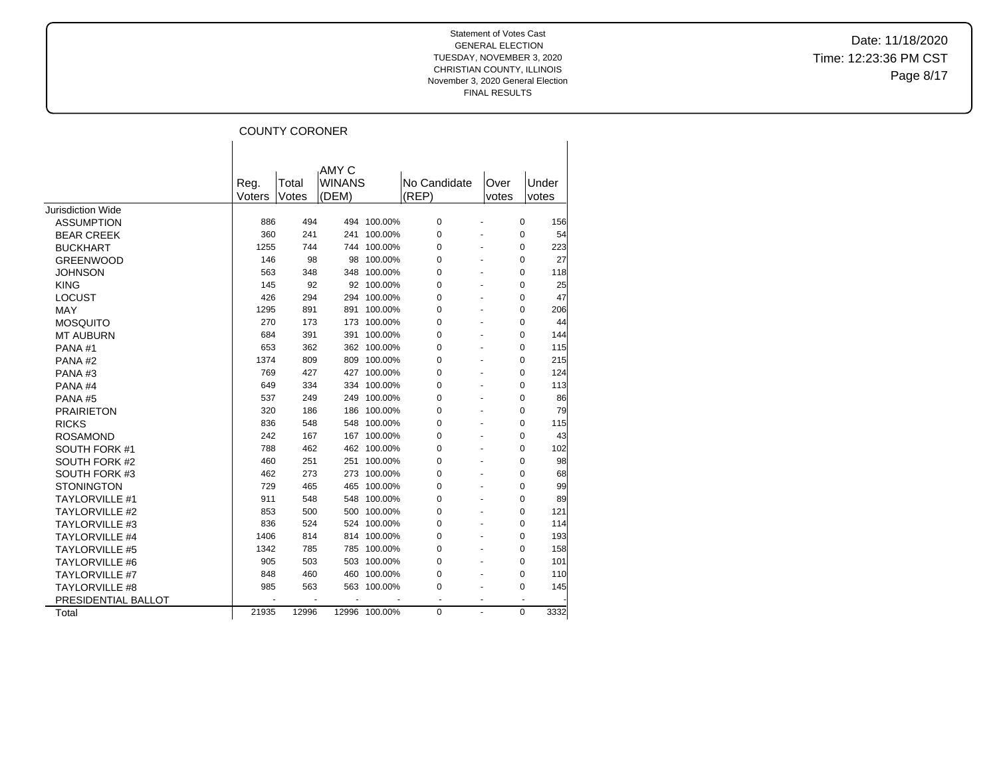Date: 11/18/2020 Time: 12:23:36 PM CST Page 8/17

# COUNTY CORONER

|                       |        |       | AMY C         |               |              |                          |          |       |
|-----------------------|--------|-------|---------------|---------------|--------------|--------------------------|----------|-------|
|                       | Reg.   | Total | <b>WINANS</b> |               | No Candidate | Over                     |          | Under |
|                       | Voters | Votes | (DEM)         |               | (REP)        | votes                    |          | votes |
| Jurisdiction Wide     |        |       |               |               |              |                          |          |       |
| <b>ASSUMPTION</b>     | 886    | 494   |               | 494 100.00%   | 0            |                          | 0        | 156   |
| <b>BEAR CREEK</b>     | 360    | 241   | 241           | 100.00%       | 0            |                          | 0        | 54    |
| <b>BUCKHART</b>       | 1255   | 744   |               | 744 100.00%   | 0            |                          | 0        | 223   |
| <b>GREENWOOD</b>      | 146    | 98    | 98            | 100.00%       | 0            |                          | 0        | 27    |
| <b>JOHNSON</b>        | 563    | 348   | 348           | 100.00%       | 0            |                          | 0        | 118   |
| <b>KING</b>           | 145    | 92    |               | 92 100.00%    | 0            |                          | 0        | 25    |
| <b>LOCUST</b>         | 426    | 294   | 294           | 100.00%       | 0            |                          | 0        | 47    |
| <b>MAY</b>            | 1295   | 891   | 891           | 100.00%       | 0            |                          | 0        | 206   |
| <b>MOSQUITO</b>       | 270    | 173   | 173           | 100.00%       | 0            |                          | 0        | 44    |
| <b>MT AUBURN</b>      | 684    | 391   | 391           | 100.00%       | 0            |                          | 0        | 144   |
| PANA#1                | 653    | 362   | 362           | 100.00%       | 0            |                          | 0        | 115   |
| PANA#2                | 1374   | 809   | 809           | 100.00%       | 0            |                          | 0        | 215   |
| PANA#3                | 769    | 427   | 427           | 100.00%       | 0            |                          | 0        | 124   |
| PANA <sub>#4</sub>    | 649    | 334   | 334           | 100.00%       | 0            |                          | 0        | 113   |
| PANA#5                | 537    | 249   | 249           | 100.00%       | 0            |                          | 0        | 86    |
| <b>PRAIRIETON</b>     | 320    | 186   | 186           | 100.00%       | 0            |                          | $\Omega$ | 79    |
| <b>RICKS</b>          | 836    | 548   | 548           | 100.00%       | 0            |                          | 0        | 115   |
| <b>ROSAMOND</b>       | 242    | 167   | 167           | 100.00%       | 0            |                          | 0        | 43    |
| SOUTH FORK #1         | 788    | 462   | 462           | 100.00%       | 0            |                          | 0        | 102   |
| <b>SOUTH FORK #2</b>  | 460    | 251   | 251           | 100.00%       | 0            |                          | 0        | 98    |
| SOUTH FORK #3         | 462    | 273   | 273           | 100.00%       | 0            |                          | 0        | 68    |
| <b>STONINGTON</b>     | 729    | 465   | 465           | 100.00%       | 0            |                          | 0        | 99    |
| <b>TAYLORVILLE #1</b> | 911    | 548   | 548           | 100.00%       | 0            |                          | 0        | 89    |
| <b>TAYLORVILLE #2</b> | 853    | 500   | 500           | 100.00%       | 0            |                          | 0        | 121   |
| <b>TAYLORVILLE #3</b> | 836    | 524   |               | 524 100.00%   | 0            |                          | 0        | 114   |
| <b>TAYLORVILLE #4</b> | 1406   | 814   |               | 814 100.00%   | 0            |                          | 0        | 193   |
| <b>TAYLORVILLE #5</b> | 1342   | 785   |               | 785 100.00%   | 0            |                          | 0        | 158   |
| <b>TAYLORVILLE #6</b> | 905    | 503   | 503           | 100.00%       | 0            |                          | 0        | 101   |
| <b>TAYLORVILLE #7</b> | 848    | 460   | 460           | 100.00%       | 0            |                          | 0        | 110   |
| <b>TAYLORVILLE #8</b> | 985    | 563   | 563           | 100.00%       | 0            |                          | 0        | 145   |
| PRESIDENTIAL BALLOT   |        | ÷     |               |               |              | $\overline{\phantom{a}}$ |          |       |
| Total                 | 21935  | 12996 |               | 12996 100.00% | 0            | $\mathbf{r}$             | $\Omega$ | 3332  |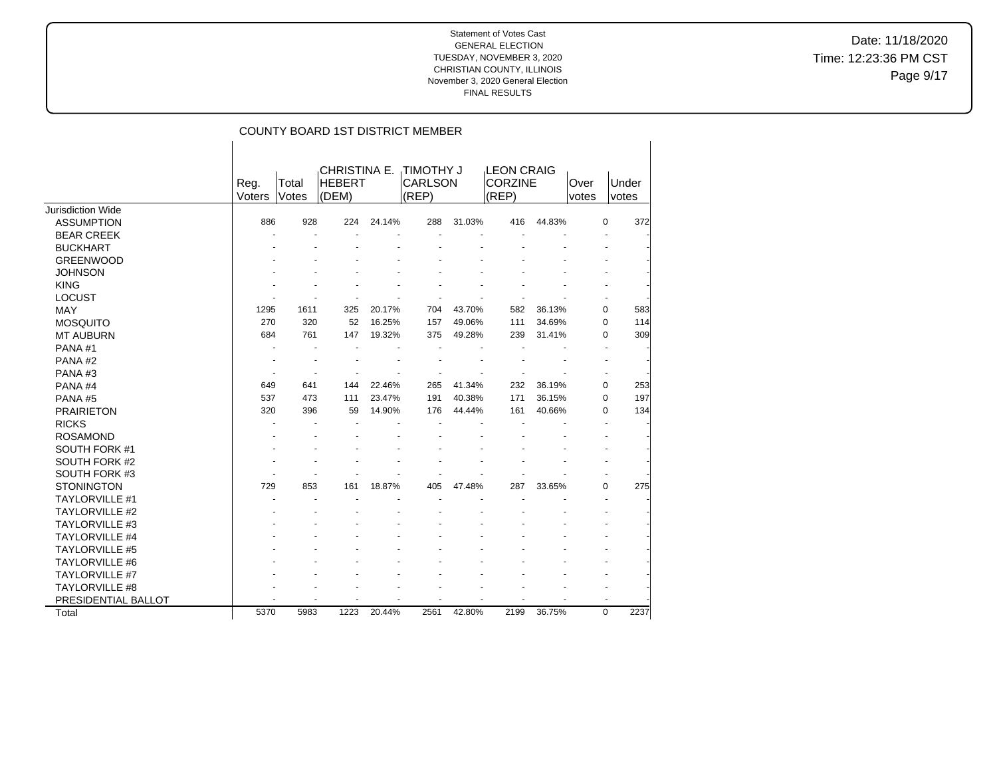Date: 11/18/2020 Time: 12:23:36 PM CST Page 9/17

|                          |        |       |                               |        | <b>COUNTY BOARD 1ST DISTRICT MEMBER</b> |        |                                     |        |       |           |
|--------------------------|--------|-------|-------------------------------|--------|-----------------------------------------|--------|-------------------------------------|--------|-------|-----------|
|                          | Reg.   | Total | CHRISTINA E.<br><b>HEBERT</b> |        | <b>TIMOTHY J</b><br><b>CARLSON</b>      |        | <b>LEON CRAIG</b><br><b>CORZINE</b> |        | Over  | Under     |
|                          | Voters | Votes | (DEM)                         |        | (REF)                                   |        | (REP)                               |        | votes | votes     |
| <b>Jurisdiction Wide</b> |        |       |                               |        |                                         |        |                                     |        |       |           |
| <b>ASSUMPTION</b>        | 886    | 928   | 224                           | 24.14% | 288                                     | 31.03% | 416                                 | 44.83% |       | 0<br>372  |
| <b>BEAR CREEK</b>        |        |       |                               |        |                                         |        |                                     |        |       |           |
| <b>BUCKHART</b>          |        |       |                               |        |                                         |        |                                     |        |       |           |
| <b>GREENWOOD</b>         |        |       |                               |        |                                         |        |                                     |        |       |           |
| <b>JOHNSON</b>           |        |       |                               |        |                                         |        |                                     |        |       |           |
| <b>KING</b>              |        |       |                               |        |                                         |        |                                     |        |       |           |
| <b>LOCUST</b>            |        |       |                               |        |                                         |        |                                     |        |       |           |
| <b>MAY</b>               | 1295   | 1611  | 325                           | 20.17% | 704                                     | 43.70% | 582                                 | 36.13% |       | 583<br>0  |
| <b>MOSQUITO</b>          | 270    | 320   | 52                            | 16.25% | 157                                     | 49.06% | 111                                 | 34.69% |       | 0<br>114  |
| <b>MT AUBURN</b>         | 684    | 761   | 147                           | 19.32% | 375                                     | 49.28% | 239                                 | 31.41% |       | 0<br>309  |
| PANA#1                   |        |       |                               |        |                                         |        |                                     |        |       | ÷         |
| PANA#2                   |        |       |                               |        |                                         |        |                                     |        |       |           |
| PANA#3                   |        |       |                               |        |                                         |        |                                     |        |       |           |
| PANA#4                   | 649    | 641   | 144                           | 22.46% | 265                                     | 41.34% | 232                                 | 36.19% |       | 0<br>253  |
| PANA#5                   | 537    | 473   | 111                           | 23.47% | 191                                     | 40.38% | 171                                 | 36.15% |       | 0<br>197  |
| <b>PRAIRIETON</b>        | 320    | 396   | 59                            | 14.90% | 176                                     | 44.44% | 161                                 | 40.66% |       | 0<br>134  |
| <b>RICKS</b>             |        |       |                               |        |                                         |        |                                     |        |       |           |
| <b>ROSAMOND</b>          |        |       |                               |        |                                         |        |                                     |        |       |           |
| SOUTH FORK #1            |        |       |                               |        |                                         |        |                                     |        |       |           |
| SOUTH FORK #2            |        |       |                               |        |                                         |        |                                     |        |       |           |
| SOUTH FORK #3            |        |       |                               |        |                                         |        |                                     |        |       |           |
| <b>STONINGTON</b>        | 729    | 853   | 161                           | 18.87% | 405                                     | 47.48% | 287                                 | 33.65% |       | 0<br>275  |
| <b>TAYLORVILLE #1</b>    |        |       |                               |        |                                         |        |                                     |        |       | ÷         |
| <b>TAYLORVILLE #2</b>    |        |       |                               |        |                                         |        |                                     |        |       |           |
| <b>TAYLORVILLE #3</b>    |        |       |                               |        |                                         |        |                                     |        |       |           |
| <b>TAYLORVILLE #4</b>    |        |       |                               |        |                                         |        |                                     |        |       |           |
| <b>TAYLORVILLE #5</b>    |        |       |                               |        |                                         |        |                                     |        |       |           |
| <b>TAYLORVILLE #6</b>    |        |       |                               |        |                                         |        |                                     |        |       |           |
| <b>TAYLORVILLE #7</b>    |        |       |                               |        |                                         |        |                                     |        |       |           |
| TAYLORVILLE #8           |        |       |                               |        |                                         |        |                                     |        |       |           |
| PRESIDENTIAL BALLOT      |        |       |                               |        |                                         |        |                                     |        |       |           |
| Total                    | 5370   | 5983  | 1223                          | 20.44% | 2561                                    | 42.80% | 2199                                | 36.75% |       | 0<br>2237 |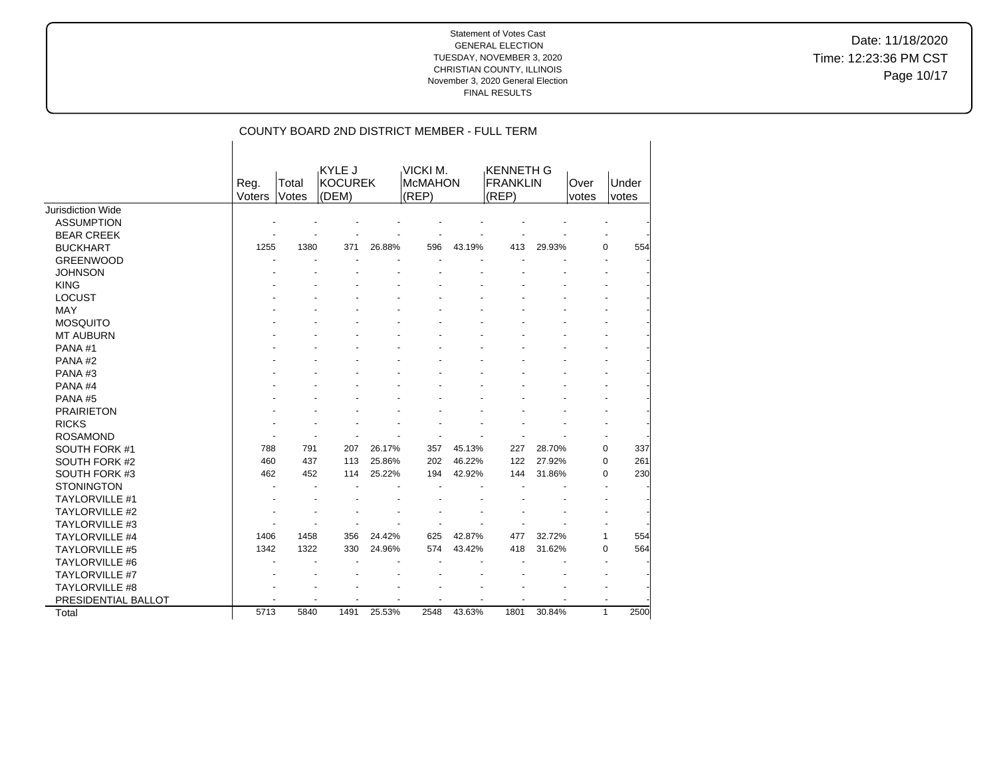Under votes

Date: 11/18/2020 Time: 12:23:36 PM CST Page 10/17

|    |                |                |                             |        |                                     |        | COUNTY BOARD 2ND DISTRICT MEMBER - FULL TERM |        |               |
|----|----------------|----------------|-----------------------------|--------|-------------------------------------|--------|----------------------------------------------|--------|---------------|
|    | Reg.<br>Voters | Total<br>Votes | KYLE J<br>IKOCUREK<br>(DEM) |        | VICKI M.<br><b>McMAHON</b><br>(REP) |        | KENNETH G<br><b>FRANKLIN</b><br>(REP)        |        | Over<br>votes |
| эp |                |                |                             |        |                                     |        |                                              |        |               |
| Ж  |                |                |                             |        |                                     |        |                                              |        |               |
| ïΚ |                |                |                             |        |                                     |        |                                              |        |               |
|    | 1255           | 1380           | 371                         | 26.88% | 596                                 | 43.19% | 413                                          | 29.93% |               |
| CC |                |                |                             |        |                                     |        |                                              |        |               |

| Jurisdiction Wide     |      |      |      |        |      |        |      |        |              |      |
|-----------------------|------|------|------|--------|------|--------|------|--------|--------------|------|
| <b>ASSUMPTION</b>     |      |      |      |        |      |        |      |        |              |      |
| <b>BEAR CREEK</b>     |      |      |      |        |      |        |      |        |              |      |
| <b>BUCKHART</b>       | 1255 | 1380 | 371  | 26.88% | 596  | 43.19% | 413  | 29.93% | 0            | 554  |
| <b>GREENWOOD</b>      |      |      |      |        |      |        |      |        |              |      |
| <b>JOHNSON</b>        |      |      |      |        |      |        |      |        |              |      |
| <b>KING</b>           |      |      |      |        |      |        |      |        |              |      |
| <b>LOCUST</b>         |      |      |      |        |      |        |      |        |              |      |
| MAY                   |      |      |      |        |      |        |      |        |              |      |
| <b>MOSQUITO</b>       |      |      |      |        |      |        |      |        |              |      |
| <b>MT AUBURN</b>      |      |      |      |        |      |        |      |        |              |      |
| PANA#1                |      |      |      |        |      |        |      |        |              |      |
| PANA#2                |      |      |      |        |      |        |      |        |              |      |
| PANA#3                |      |      |      |        |      |        |      |        |              |      |
| PANA#4                |      |      |      |        |      |        |      |        |              |      |
| PANA#5                |      |      |      |        |      |        |      |        |              |      |
| <b>PRAIRIETON</b>     |      |      |      |        |      |        |      |        |              |      |
| <b>RICKS</b>          |      |      |      |        |      |        |      |        |              |      |
| <b>ROSAMOND</b>       |      |      |      |        |      |        |      |        |              |      |
| SOUTH FORK #1         | 788  | 791  | 207  | 26.17% | 357  | 45.13% | 227  | 28.70% | $\mathbf 0$  | 337  |
| SOUTH FORK #2         | 460  | 437  | 113  | 25.86% | 202  | 46.22% | 122  | 27.92% | 0            | 261  |
| SOUTH FORK #3         | 462  | 452  | 114  | 25.22% | 194  | 42.92% | 144  | 31.86% | 0            | 230  |
| <b>STONINGTON</b>     |      |      |      |        |      |        |      |        |              |      |
| <b>TAYLORVILLE #1</b> |      |      |      |        |      |        |      |        |              |      |
| <b>TAYLORVILLE #2</b> |      |      |      |        |      |        |      |        |              |      |
| <b>TAYLORVILLE #3</b> |      |      |      |        |      |        |      |        |              |      |
| <b>TAYLORVILLE #4</b> | 1406 | 1458 | 356  | 24.42% | 625  | 42.87% | 477  | 32.72% | 1            | 554  |
| <b>TAYLORVILLE #5</b> | 1342 | 1322 | 330  | 24.96% | 574  | 43.42% | 418  | 31.62% | 0            | 564  |
| TAYLORVILLE #6        |      |      |      |        |      |        |      |        |              |      |
| <b>TAYLORVILLE #7</b> |      |      |      |        |      |        |      |        |              |      |
| <b>TAYLORVILLE #8</b> |      |      |      |        |      |        |      |        |              |      |
| PRESIDENTIAL BALLOT   |      |      |      |        |      |        |      |        |              |      |
| Total                 | 5713 | 5840 | 1491 | 25.53% | 2548 | 43.63% | 1801 | 30.84% | $\mathbf{1}$ | 2500 |
|                       |      |      |      |        |      |        |      |        |              |      |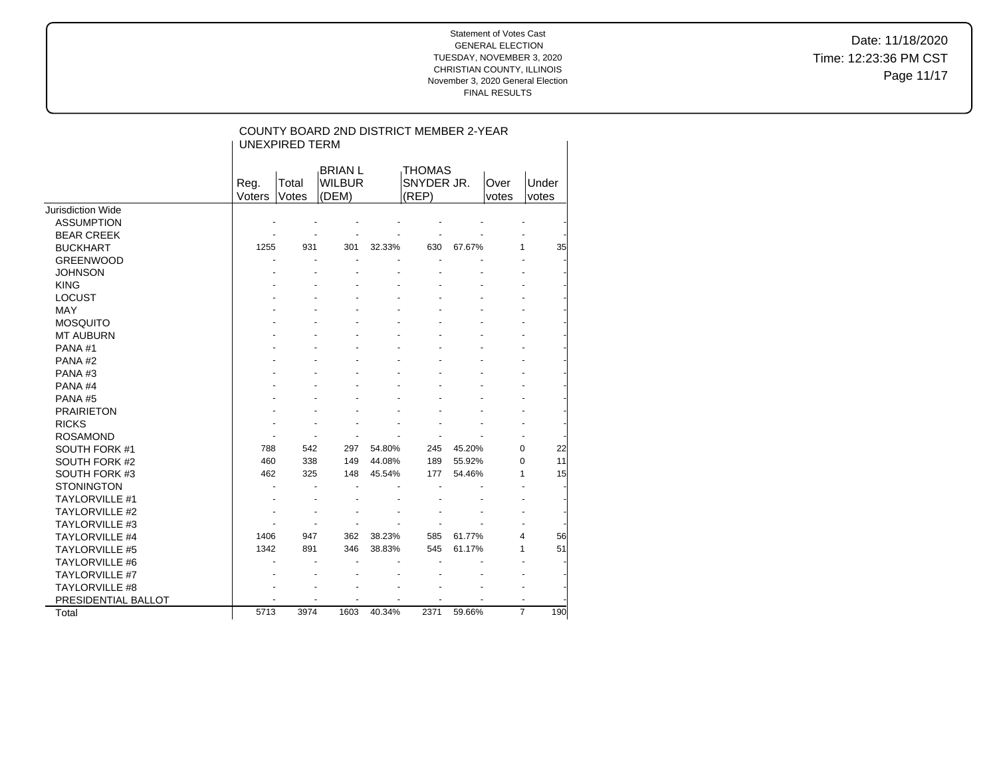Date: 11/18/2020 Time: 12:23:36 PM CST Page 11/17

|                          |                | <b>UNEXPIRED TERM</b> | COUNTY BOARD 2ND DISTRICT MEMBER 2-YEAR  |        |                                      |        |               |                       |
|--------------------------|----------------|-----------------------|------------------------------------------|--------|--------------------------------------|--------|---------------|-----------------------|
|                          | Reg.<br>Voters | Total<br>Votes        | <b>BRIAN L</b><br><b>WILBUR</b><br>(DEM) |        | <b>THOMAS</b><br>SNYDER JR.<br>(REP) |        | Over<br>votes | Under<br>votes        |
| <b>Jurisdiction Wide</b> |                |                       |                                          |        |                                      |        |               |                       |
| <b>ASSUMPTION</b>        |                |                       |                                          |        |                                      |        |               |                       |
| <b>BEAR CREEK</b>        |                |                       |                                          |        |                                      |        |               |                       |
| <b>BUCKHART</b>          | 1255           | 931                   | 301                                      | 32.33% | 630                                  | 67.67% | 1             | 35                    |
| <b>GREENWOOD</b>         |                |                       | ä,                                       |        | ä,                                   |        |               |                       |
| <b>JOHNSON</b>           |                |                       |                                          |        |                                      |        |               |                       |
| <b>KING</b>              |                |                       |                                          |        |                                      |        |               |                       |
| <b>LOCUST</b>            |                |                       |                                          |        |                                      |        |               |                       |
| <b>MAY</b>               |                |                       |                                          |        |                                      |        |               |                       |
| <b>MOSQUITO</b>          |                |                       |                                          |        |                                      |        |               |                       |
| <b>MT AUBURN</b>         |                |                       |                                          |        |                                      |        |               |                       |
| PANA#1                   |                |                       |                                          |        |                                      |        |               |                       |
| PANA#2                   |                |                       |                                          |        |                                      |        |               | ä,                    |
| PANA#3                   |                |                       |                                          |        |                                      |        |               |                       |
| PANA#4                   |                |                       |                                          |        |                                      |        |               |                       |
| PANA#5                   |                |                       |                                          |        |                                      |        |               |                       |
| <b>PRAIRIETON</b>        |                |                       |                                          |        |                                      |        |               |                       |
| <b>RICKS</b>             |                |                       |                                          |        |                                      |        |               |                       |
| <b>ROSAMOND</b>          |                |                       |                                          |        |                                      |        |               |                       |
| SOUTH FORK #1            | 788            | 542                   | 297                                      | 54.80% | 245                                  | 45.20% | 0             | 22                    |
| SOUTH FORK #2            | 460            | 338                   | 149                                      | 44.08% | 189                                  | 55.92% | 0             | 11                    |
| SOUTH FORK #3            | 462            | 325                   | 148                                      | 45.54% | 177                                  | 54.46% | 1             | 15                    |
| <b>STONINGTON</b>        |                |                       | $\blacksquare$                           |        | ä,                                   |        |               |                       |
| <b>TAYLORVILLE #1</b>    |                |                       |                                          |        |                                      |        |               |                       |
| <b>TAYLORVILLE #2</b>    |                |                       |                                          |        |                                      |        |               | ÷,                    |
| <b>TAYLORVILLE #3</b>    |                |                       | $\ddot{\phantom{1}}$                     |        |                                      |        |               |                       |
| <b>TAYLORVILLE #4</b>    | 1406           | 947                   | 362                                      | 38.23% | 585                                  | 61.77% | 4             | 56                    |
| <b>TAYLORVILLE #5</b>    | 1342           | 891                   | 346                                      | 38.83% | 545                                  | 61.17% | 1             | 51                    |
| <b>TAYLORVILLE #6</b>    |                |                       | ä,                                       |        |                                      |        |               |                       |
| <b>TAYLORVILLE #7</b>    |                |                       |                                          |        |                                      |        |               |                       |
| <b>TAYLORVILLE #8</b>    |                |                       |                                          |        |                                      |        |               |                       |
| PRESIDENTIAL BALLOT      |                |                       |                                          |        |                                      |        |               |                       |
| Total                    | 5713           | 3974                  | 1603                                     | 40.34% | 2371                                 | 59.66% |               | $\overline{7}$<br>190 |
|                          |                |                       |                                          |        |                                      |        |               |                       |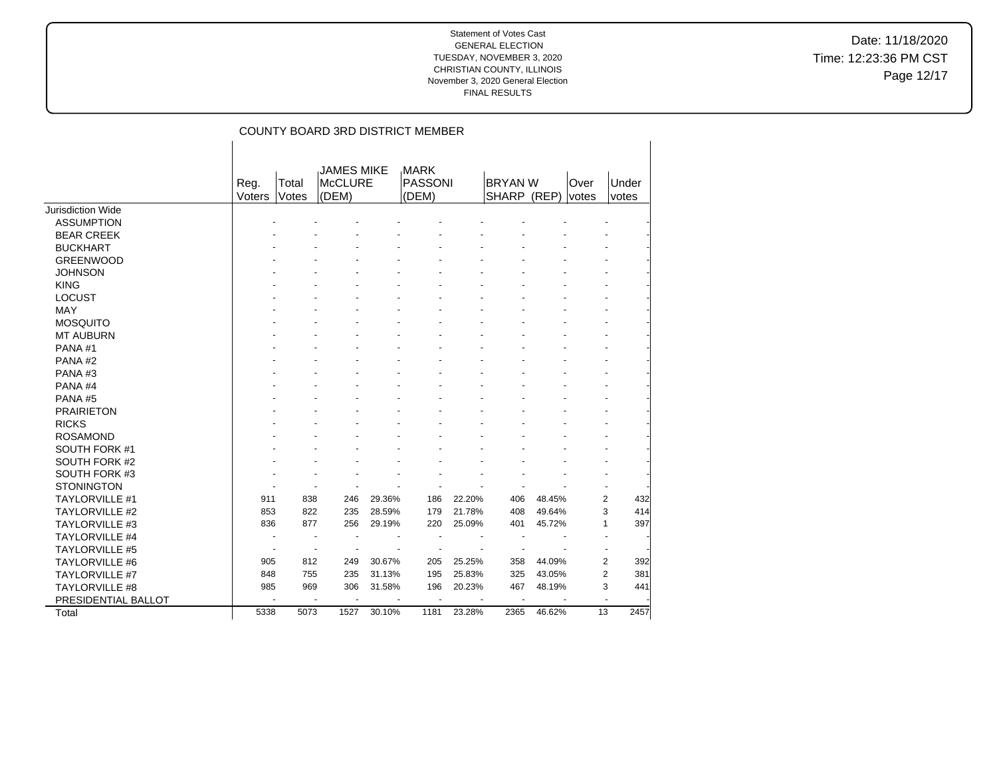Date: 11/18/2020 Time: 12:23:36 PM CST Page 12/17

|                          |                |                |                                       |        | COUNTY BOARD 3RD DISTRICT MEMBER |        |                               |        |               |                       |
|--------------------------|----------------|----------------|---------------------------------------|--------|----------------------------------|--------|-------------------------------|--------|---------------|-----------------------|
|                          | Reg.<br>Voters | Total<br>Votes | <b>JAMES MIKE</b><br>McCLURE<br>(DEM) |        | <b>MARK</b><br>PASSONI<br>(DEM)  |        | <b>BRYAN W</b><br>SHARP (REP) |        | Over<br>votes | Under<br>votes        |
| <b>Jurisdiction Wide</b> |                |                |                                       |        |                                  |        |                               |        |               |                       |
| <b>ASSUMPTION</b>        |                |                |                                       |        |                                  |        |                               |        |               |                       |
| <b>BEAR CREEK</b>        |                |                |                                       |        |                                  |        |                               |        |               |                       |
| <b>BUCKHART</b>          |                |                |                                       |        |                                  |        |                               |        |               |                       |
| <b>GREENWOOD</b>         |                |                |                                       |        |                                  |        |                               |        |               |                       |
| <b>JOHNSON</b>           |                |                |                                       |        |                                  |        |                               |        |               |                       |
| <b>KING</b>              |                |                |                                       |        |                                  |        |                               |        |               |                       |
| <b>LOCUST</b>            |                |                |                                       |        |                                  |        |                               |        |               |                       |
| <b>MAY</b>               |                |                |                                       |        |                                  |        |                               |        |               |                       |
| <b>MOSQUITO</b>          |                |                |                                       |        |                                  |        |                               |        |               |                       |
| <b>MT AUBURN</b>         |                |                |                                       |        |                                  |        |                               |        |               |                       |
| PANA#1                   |                |                |                                       |        |                                  |        |                               |        |               |                       |
| PANA#2                   |                |                |                                       |        |                                  |        |                               |        |               |                       |
| PANA#3                   |                |                |                                       |        |                                  |        |                               |        |               |                       |
| PANA#4                   |                |                |                                       |        |                                  |        |                               |        |               |                       |
| PANA#5                   |                |                |                                       |        |                                  |        |                               |        |               |                       |
| <b>PRAIRIETON</b>        |                |                |                                       |        |                                  |        |                               |        |               |                       |
| <b>RICKS</b>             |                |                |                                       |        |                                  |        |                               |        |               |                       |
| <b>ROSAMOND</b>          |                |                |                                       |        |                                  |        |                               |        |               |                       |
| SOUTH FORK #1            |                |                |                                       |        |                                  |        |                               |        |               |                       |
| SOUTH FORK #2            |                |                |                                       |        |                                  |        |                               |        |               |                       |
| SOUTH FORK #3            |                |                |                                       |        |                                  |        |                               |        |               |                       |
| <b>STONINGTON</b>        |                |                |                                       |        |                                  |        |                               |        |               |                       |
| <b>TAYLORVILLE #1</b>    | 911            | 838            | 246                                   | 29.36% | 186                              | 22.20% | 406                           | 48.45% |               | $\overline{2}$<br>432 |
| <b>TAYLORVILLE #2</b>    | 853            | 822            | 235                                   | 28.59% | 179                              | 21.78% | 408                           | 49.64% |               | 3<br>414              |
| <b>TAYLORVILLE #3</b>    | 836            | 877            | 256                                   | 29.19% | 220                              | 25.09% | 401                           | 45.72% |               | 397<br>$\mathbf{1}$   |
| <b>TAYLORVILLE #4</b>    |                |                |                                       |        |                                  |        |                               |        |               |                       |
| <b>TAYLORVILLE #5</b>    |                |                |                                       |        |                                  |        |                               |        |               |                       |
| <b>TAYLORVILLE #6</b>    | 905            | 812            | 249                                   | 30.67% | 205                              | 25.25% | 358                           | 44.09% |               | 2<br>392              |
| TAYLORVILLE #7           | 848            | 755            | 235                                   | 31.13% | 195                              | 25.83% | 325                           | 43.05% |               | $\overline{2}$<br>381 |
| TAYLORVILLE #8           | 985            | 969            | 306                                   | 31.58% | 196                              | 20.23% | 467                           | 48.19% |               | 3<br>441              |
| PRESIDENTIAL BALLOT      |                |                |                                       |        | ä,                               |        |                               |        |               |                       |
| Total                    | 5338           | 5073           | 1527                                  | 30.10% | 1181                             | 23.28% | 2365                          | 46.62% |               | 13<br>2457            |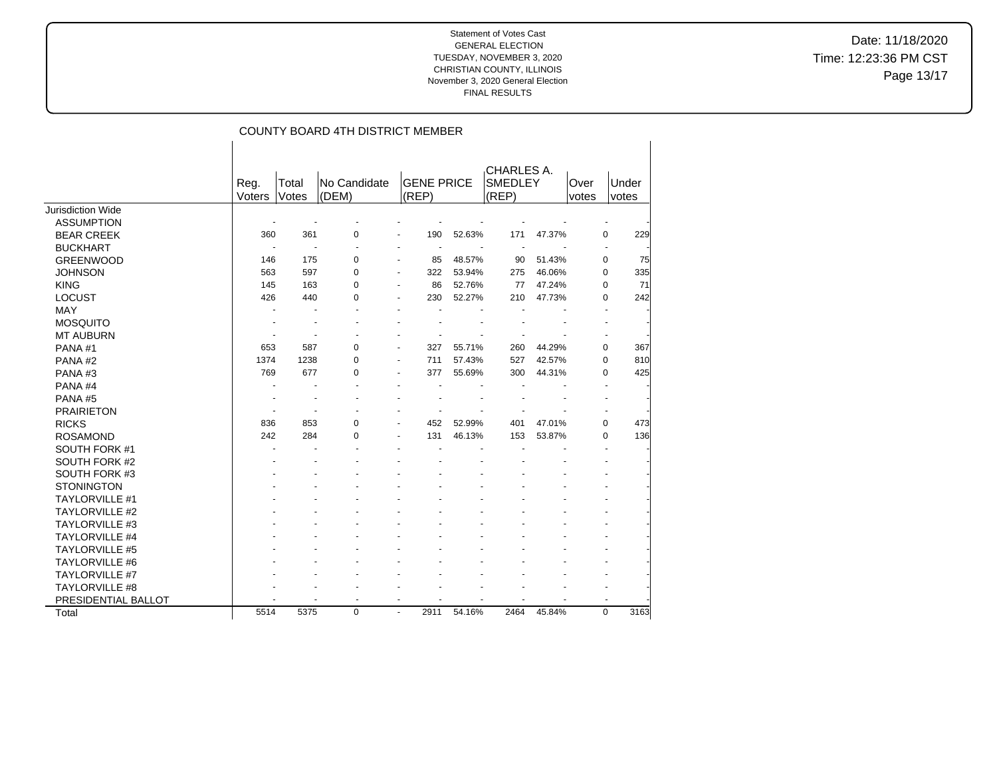Date: 11/18/2020 Time: 12:23:36 PM CST Page 13/17

|                       |        |       | COUNTY BOARD 4TH DISTRICT MEMBER |                          |                   |        |                              |        |             |          |
|-----------------------|--------|-------|----------------------------------|--------------------------|-------------------|--------|------------------------------|--------|-------------|----------|
|                       | Reg.   | Total | No Candidate                     |                          | <b>GENE PRICE</b> |        | CHARLES A.<br><b>SMEDLEY</b> |        | Over        | Under    |
| Jurisdiction Wide     | Voters | Votes | (DEM)                            |                          | (REP)             |        | (REP)                        |        | votes       | votes    |
| <b>ASSUMPTION</b>     |        |       |                                  |                          |                   |        |                              |        |             |          |
| <b>BEAR CREEK</b>     | 360    | 361   | 0                                |                          | 190               | 52.63% | 171                          | 47.37% |             | 0<br>229 |
| <b>BUCKHART</b>       |        |       |                                  |                          | $\blacksquare$    |        | $\ddot{\phantom{1}}$         |        |             |          |
| <b>GREENWOOD</b>      | 146    | 175   | 0                                |                          | 85                | 48.57% | 90                           | 51.43% |             | 0<br>75  |
| <b>JOHNSON</b>        | 563    | 597   | $\Omega$                         | $\blacksquare$           | 322               | 53.94% | 275                          | 46.06% |             | 0<br>335 |
| <b>KING</b>           | 145    | 163   | 0                                | ٠                        | 86                | 52.76% | 77                           | 47.24% |             | 71<br>0  |
| <b>LOCUST</b>         | 426    | 440   | 0                                |                          | 230               | 52.27% | 210                          | 47.73% |             | 242<br>0 |
| <b>MAY</b>            |        |       |                                  |                          |                   |        |                              |        |             |          |
| <b>MOSQUITO</b>       |        |       |                                  |                          |                   |        |                              |        |             |          |
| <b>MT AUBURN</b>      |        |       |                                  |                          |                   |        |                              |        |             |          |
| PANA#1                | 653    | 587   | 0                                |                          | 327               | 55.71% | 260                          | 44.29% |             | 367<br>0 |
| PANA#2                | 1374   | 1238  | 0                                |                          | 711               | 57.43% | 527                          | 42.57% |             | 0<br>810 |
| PANA#3                | 769    | 677   | 0                                |                          | 377               | 55.69% | 300                          | 44.31% |             | 425<br>0 |
| PANA#4                |        |       |                                  |                          |                   |        |                              |        |             |          |
| PANA#5                |        |       |                                  |                          |                   |        |                              |        |             |          |
| <b>PRAIRIETON</b>     |        |       |                                  |                          |                   |        |                              |        |             |          |
| <b>RICKS</b>          | 836    | 853   | 0                                |                          | 452               | 52.99% | 401                          | 47.01% |             | 0<br>473 |
| <b>ROSAMOND</b>       | 242    | 284   | 0                                |                          | 131               | 46.13% | 153                          | 53.87% |             | 136<br>0 |
| SOUTH FORK #1         |        |       |                                  |                          |                   |        |                              |        |             |          |
| SOUTH FORK #2         |        |       |                                  |                          |                   |        |                              |        |             |          |
| SOUTH FORK #3         |        |       |                                  |                          |                   |        |                              |        |             |          |
| <b>STONINGTON</b>     |        |       |                                  |                          |                   |        |                              |        |             |          |
| <b>TAYLORVILLE #1</b> |        |       |                                  |                          |                   |        |                              |        |             |          |
| TAYLORVILLE #2        |        |       |                                  |                          |                   |        |                              |        |             |          |
| TAYLORVILLE #3        |        |       |                                  |                          |                   |        |                              |        |             |          |
| <b>TAYLORVILLE #4</b> |        |       |                                  |                          |                   |        |                              |        |             |          |
| <b>TAYLORVILLE #5</b> |        |       |                                  |                          |                   |        |                              |        |             |          |
| <b>TAYLORVILLE #6</b> |        |       |                                  |                          |                   |        |                              |        |             |          |
| <b>TAYLORVILLE #7</b> |        |       |                                  |                          |                   |        |                              |        |             |          |
| TAYLORVILLE #8        |        |       |                                  |                          |                   |        |                              |        |             |          |
| PRESIDENTIAL BALLOT   |        |       | $\overline{a}$                   | $\overline{\phantom{a}}$ |                   |        |                              |        |             |          |
| Total                 | 5514   | 5375  | 0                                | $\blacksquare$           | 2911              | 54.16% | 2464                         | 45.84% | $\mathbf 0$ | 3163     |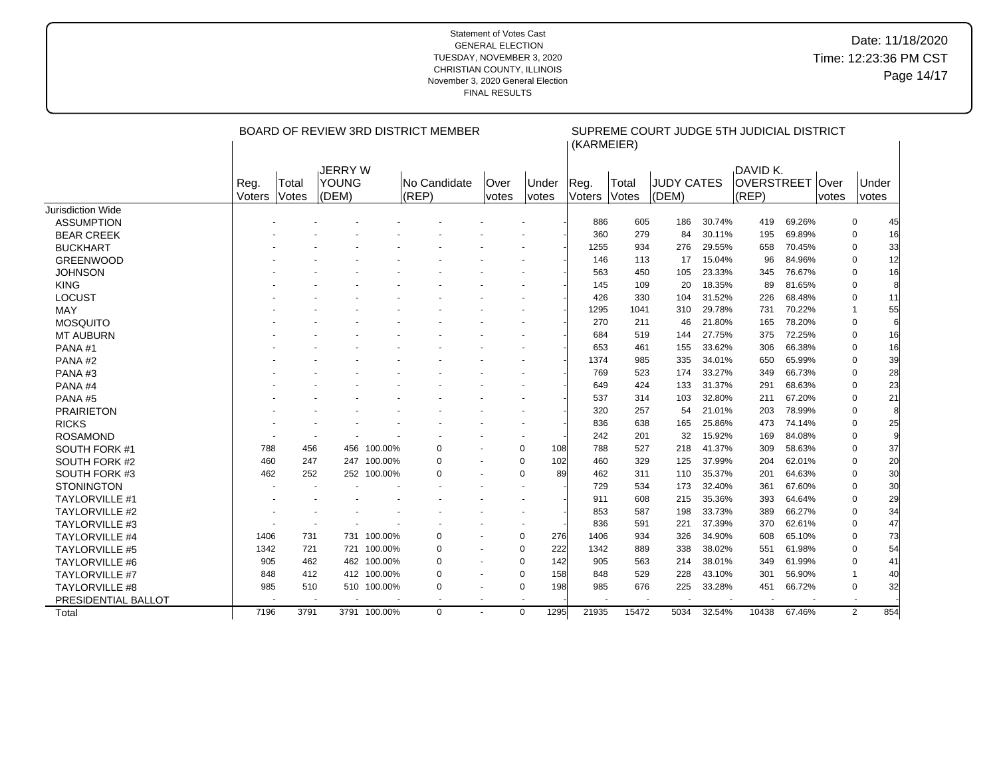|                       |        |       |                |              | BOARD OF REVIEW 3RD DISTRICT MEMBER |                          | SUPREME COURT JUDGE 5TH JUDICIAL DISTRICT<br>(KARMEIER) |      |        |       |       |                   |                   |        |             |                      |  |
|-----------------------|--------|-------|----------------|--------------|-------------------------------------|--------------------------|---------------------------------------------------------|------|--------|-------|-------|-------------------|-------------------|--------|-------------|----------------------|--|
|                       |        |       | <b>JERRY W</b> |              |                                     |                          |                                                         |      |        |       |       |                   | DAVID K.          |        |             |                      |  |
|                       | Reg.   | Total | YOUNG          |              | No Candidate                        | Over<br>Under            |                                                         |      | Reg.   | Total |       | <b>JUDY CATES</b> | <b>OVERSTREET</b> |        | <b>Over</b> | Under                |  |
|                       | Voters | Votes | (DEM)          |              | (REP)                               | votes                    | votes                                                   |      | Voters | Votes | (DEM) |                   | (REP)             |        | votes       | votes                |  |
| Jurisdiction Wide     |        |       |                |              |                                     |                          |                                                         |      |        |       |       |                   |                   |        |             |                      |  |
| <b>ASSUMPTION</b>     |        |       |                |              |                                     |                          |                                                         |      | 886    | 605   | 186   | 30.74%            | 419               | 69.26% |             | 0<br>45              |  |
| <b>BEAR CREEK</b>     |        |       |                |              |                                     |                          |                                                         |      | 360    | 279   | 84    | 30.11%            | 195               | 69.89% |             | 16<br>0              |  |
| <b>BUCKHART</b>       |        |       |                |              |                                     |                          |                                                         |      | 1255   | 934   | 276   | 29.55%            | 658               | 70.45% |             | 33<br>0              |  |
| <b>GREENWOOD</b>      |        |       |                |              |                                     |                          |                                                         |      | 146    | 113   | 17    | 15.04%            | 96                | 84.96% |             | 12<br>0              |  |
| <b>JOHNSON</b>        |        |       |                |              |                                     |                          |                                                         |      | 563    | 450   | 105   | 23.33%            | 345               | 76.67% |             | 16<br>0              |  |
| <b>KING</b>           |        |       |                |              |                                     |                          |                                                         |      | 145    | 109   | 20    | 18.35%            | 89                | 81.65% |             | 8<br>0               |  |
| <b>LOCUST</b>         |        |       |                |              |                                     |                          |                                                         |      | 426    | 330   | 104   | 31.52%            | 226               | 68.48% |             | 0<br>11              |  |
| MAY                   |        |       |                |              |                                     |                          |                                                         |      | 1295   | 1041  | 310   | 29.78%            | 731               | 70.22% |             | 55<br>$\overline{1}$ |  |
| <b>MOSQUITO</b>       |        |       |                |              |                                     |                          |                                                         |      | 270    | 211   | 46    | 21.80%            | 165               | 78.20% |             | 6<br>0               |  |
| <b>MT AUBURN</b>      |        |       |                |              |                                     |                          |                                                         |      | 684    | 519   | 144   | 27.75%            | 375               | 72.25% |             | 16<br>0              |  |
| PANA#1                |        |       |                |              |                                     |                          |                                                         |      | 653    | 461   | 155   | 33.62%            | 306               | 66.38% |             | 16<br>0              |  |
| PANA#2                |        |       |                |              |                                     |                          |                                                         |      | 1374   | 985   | 335   | 34.01%            | 650               | 65.99% |             | 39<br>0              |  |
| PANA#3                |        |       |                |              |                                     |                          |                                                         |      | 769    | 523   | 174   | 33.27%            | 349               | 66.73% |             | 28<br>0              |  |
| PANA#4                |        |       |                |              |                                     |                          |                                                         |      | 649    | 424   | 133   | 31.37%            | 291               | 68.63% |             | 23<br>0              |  |
| PANA#5                |        |       |                |              |                                     |                          |                                                         |      | 537    | 314   | 103   | 32.80%            | 211               | 67.20% |             | 21<br>0              |  |
| <b>PRAIRIETON</b>     |        |       |                |              |                                     |                          |                                                         |      | 320    | 257   | 54    | 21.01%            | 203               | 78.99% |             | 8<br>0               |  |
| <b>RICKS</b>          |        |       |                |              |                                     |                          |                                                         |      | 836    | 638   | 165   | 25.86%            | 473               | 74.14% |             | 25<br>0              |  |
| <b>ROSAMOND</b>       |        |       |                |              |                                     |                          |                                                         |      | 242    | 201   | 32    | 15.92%            | 169               | 84.08% |             | 9<br>0               |  |
| SOUTH FORK #1         | 788    | 456   | 456            | 100.00%      | 0                                   |                          | 0                                                       | 108  | 788    | 527   | 218   | 41.37%            | 309               | 58.63% |             | 37<br>0              |  |
| SOUTH FORK #2         | 460    | 247   |                | 247 100.00%  | 0                                   |                          | 0                                                       | 102  | 460    | 329   | 125   | 37.99%            | 204               | 62.01% |             | 20<br>0              |  |
| SOUTH FORK #3         | 462    | 252   |                | 252 100.00%  | $\Omega$                            |                          | $\mathbf 0$                                             | 89   | 462    | 311   | 110   | 35.37%            | 201               | 64.63% |             | 30<br>0              |  |
| <b>STONINGTON</b>     |        |       |                |              |                                     |                          |                                                         |      | 729    | 534   | 173   | 32.40%            | 361               | 67.60% |             | 30<br>0              |  |
| <b>TAYLORVILLE #1</b> |        |       |                |              |                                     |                          |                                                         |      | 911    | 608   | 215   | 35.36%            | 393               | 64.64% |             | 29<br>0              |  |
| <b>TAYLORVILLE #2</b> |        |       |                |              |                                     |                          |                                                         |      | 853    | 587   | 198   | 33.73%            | 389               | 66.27% |             | 34<br>0              |  |
| <b>TAYLORVILLE #3</b> |        |       |                |              |                                     |                          |                                                         |      | 836    | 591   | 221   | 37.39%            | 370               | 62.61% |             | 47<br>0              |  |
| <b>TAYLORVILLE #4</b> | 1406   | 731   | 731            | 100.00%      | 0                                   |                          | 0                                                       | 276  | 1406   | 934   | 326   | 34.90%            | 608               | 65.10% |             | 73<br>0              |  |
| <b>TAYLORVILLE #5</b> | 1342   | 721   |                | 721 100.00%  | $\mathbf 0$                         |                          | $\Omega$                                                | 222  | 1342   | 889   | 338   | 38.02%            | 551               | 61.98% |             | 54<br>0              |  |
| <b>TAYLORVILLE #6</b> | 905    | 462   |                | 462 100.00%  | 0                                   |                          | 0                                                       | 142  | 905    | 563   | 214   | 38.01%            | 349               | 61.99% |             | 0<br>41              |  |
| <b>TAYLORVILLE #7</b> | 848    | 412   |                | 412 100.00%  | 0                                   |                          | $\mathbf 0$                                             | 158  | 848    | 529   | 228   | 43.10%            | 301               | 56.90% |             | 40<br>1              |  |
| <b>TAYLORVILLE #8</b> | 985    | 510   |                | 510 100.00%  | 0                                   |                          | $\mathbf 0$                                             | 198  | 985    | 676   | 225   | 33.28%            | 451               | 66.72% |             | 32<br>0              |  |
| PRESIDENTIAL BALLOT   |        |       |                |              | $\blacksquare$                      | $\overline{\phantom{a}}$ |                                                         |      |        | ÷     |       |                   |                   |        |             |                      |  |
| Total                 | 7196   | 3791  |                | 3791 100.00% | $\Omega$                            |                          | $\Omega$                                                | 1295 | 21935  | 15472 | 5034  | 32.54%            | 10438             | 67.46% |             | 2<br>854             |  |
|                       |        |       |                |              |                                     |                          |                                                         |      |        |       |       |                   |                   |        |             |                      |  |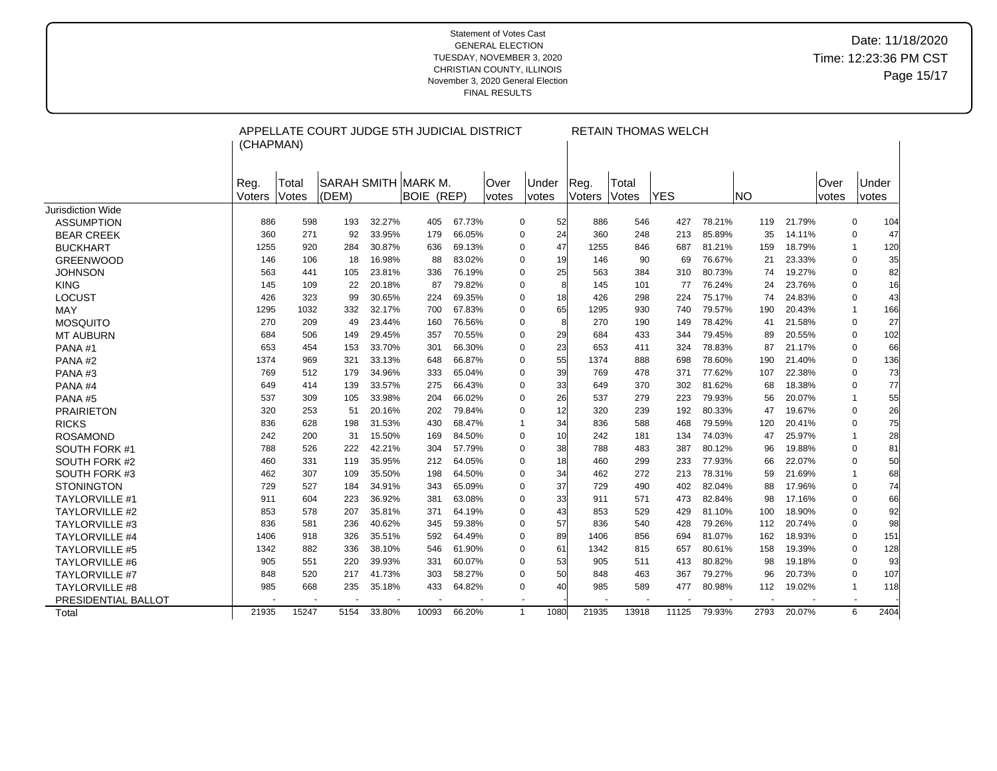|                       | (CHAPMAN)      |                | APPELLATE COURT JUDGE 5TH JUDICIAL DISTRICT |        |                                           |        |                       | <b>RETAIN THOMAS WELCH</b>   |                |                |            |        |            |        |               |                     |  |  |
|-----------------------|----------------|----------------|---------------------------------------------|--------|-------------------------------------------|--------|-----------------------|------------------------------|----------------|----------------|------------|--------|------------|--------|---------------|---------------------|--|--|
|                       | Reg.<br>Voters | Total<br>Votes | (DEM)                                       |        | SARAH SMITH  MARK M.<br><b>BOIE (REP)</b> |        | lOver<br><i>votes</i> | <b>Under</b><br><i>votes</i> | Reg.<br>Voters | Total<br>Votes | <b>YES</b> |        | <b>INO</b> |        | Over<br>votes | Under<br>votes      |  |  |
| Jurisdiction Wide     |                |                |                                             |        |                                           |        |                       |                              |                |                |            |        |            |        |               |                     |  |  |
| <b>ASSUMPTION</b>     | 886            | 598            | 193                                         | 32.27% | 405                                       | 67.73% |                       | 0                            | 52<br>886      | 546            | 427        | 78.21% | 119        | 21.79% |               | 104<br>0            |  |  |
| <b>BEAR CREEK</b>     | 360            | 271            | 92                                          | 33.95% | 179                                       | 66.05% |                       | 0                            | 24<br>360      | 248            | 213        | 85.89% | 35         | 14.11% |               | 47<br>0             |  |  |
| <b>BUCKHART</b>       | 1255           | 920            | 284                                         | 30.87% | 636                                       | 69.13% |                       | 0                            | 47<br>1255     | 846            | 687        | 81.21% | 159        | 18.79% |               | 120<br>$\mathbf{1}$ |  |  |
| <b>GREENWOOD</b>      | 146            | 106            | 18                                          | 16.98% | 88                                        | 83.02% |                       | 0                            | 19<br>146      | 90             | 69         | 76.67% | 21         | 23.33% |               | 35<br>0             |  |  |
| <b>JOHNSON</b>        | 563            | 441            | 105                                         | 23.81% | 336                                       | 76.19% |                       | 0                            | 25<br>563      | 384            | 310        | 80.73% | 74         | 19.27% |               | 82<br>$\mathbf 0$   |  |  |
| <b>KING</b>           | 145            | 109            | 22                                          | 20.18% | 87                                        | 79.82% |                       | 0                            | 145            | 101            | 77         | 76.24% | 24         | 23.76% |               | 0<br>16             |  |  |
| <b>LOCUST</b>         | 426            | 323            | 99                                          | 30.65% | 224                                       | 69.35% |                       | $\mathbf 0$                  | 18<br>426      | 298            | 224        | 75.17% | 74         | 24.83% |               | 43<br>0             |  |  |
| MAY                   | 1295           | 1032           | 332                                         | 32.17% | 700                                       | 67.83% |                       | $\Omega$                     | 65<br>1295     | 930            | 740        | 79.57% | 190        | 20.43% |               | 166<br>$\mathbf{1}$ |  |  |
| <b>MOSQUITO</b>       | 270            | 209            | 49                                          | 23.44% | 160                                       | 76.56% |                       | 0                            | 8<br>270       | 190            | 149        | 78.42% | 41         | 21.58% |               | 27<br>0             |  |  |
| <b>MT AUBURN</b>      | 684            | 506            | 149                                         | 29.45% | 357                                       | 70.55% |                       | 0                            | 29<br>684      | 433            | 344        | 79.45% | 89         | 20.55% |               | 102<br>$\mathbf 0$  |  |  |
| PANA#1                | 653            | 454            | 153                                         | 33.70% | 301                                       | 66.30% |                       | 0                            | 23<br>653      | 411            | 324        | 78.83% | 87         | 21.17% |               | 66<br>0             |  |  |
| PANA#2                | 1374           | 969            | 321                                         | 33.13% | 648                                       | 66.87% |                       | 0                            | 55<br>1374     | 888            | 698        | 78.60% | 190        | 21.40% |               | 136<br>0            |  |  |
| PANA#3                | 769            | 512            | 179                                         | 34.96% | 333                                       | 65.04% |                       | 0                            | 39<br>769      | 478            | 371        | 77.62% | 107        | 22.38% |               | 73<br>$\mathbf 0$   |  |  |
| PANA#4                | 649            | 414            | 139                                         | 33.57% | 275                                       | 66.43% |                       | 0                            | 33<br>649      | 370            | 302        | 81.62% | 68         | 18.38% |               | 77<br>0             |  |  |
| PANA#5                | 537            | 309            | 105                                         | 33.98% | 204                                       | 66.02% |                       | 0                            | 26<br>537      | 279            | 223        | 79.93% | 56         | 20.07% |               | 55<br>$\mathbf 1$   |  |  |
| <b>PRAIRIETON</b>     | 320            | 253            | 51                                          | 20.16% | 202                                       | 79.84% |                       | 0                            | 12<br>320      | 239            | 192        | 80.33% | 47         | 19.67% |               | 26<br>0             |  |  |
| <b>RICKS</b>          | 836            | 628            | 198                                         | 31.53% | 430                                       | 68.47% |                       | $\mathbf 1$                  | 34<br>836      | 588            | 468        | 79.59% | 120        | 20.41% |               | 75<br>0             |  |  |
| <b>ROSAMOND</b>       | 242            | 200            | 31                                          | 15.50% | 169                                       | 84.50% |                       | $\Omega$                     | 10<br>242      | 181            | 134        | 74.03% | 47         | 25.97% |               | 28<br>$\mathbf 1$   |  |  |
| SOUTH FORK #1         | 788            | 526            | 222                                         | 42.21% | 304                                       | 57.79% |                       | $\Omega$                     | 38<br>788      | 483            | 387        | 80.12% | 96         | 19.88% |               | 81<br>0             |  |  |
| SOUTH FORK #2         | 460            | 331            | 119                                         | 35.95% | 212                                       | 64.05% |                       | 0                            | 18<br>460      | 299            | 233        | 77.93% | 66         | 22.07% |               | 50<br>0             |  |  |
| SOUTH FORK #3         | 462            | 307            | 109                                         | 35.50% | 198                                       | 64.50% |                       | 0                            | 34<br>462      | 272            | 213        | 78.31% | 59         | 21.69% |               | 68<br>$\mathbf 1$   |  |  |
| <b>STONINGTON</b>     | 729            | 527            | 184                                         | 34.91% | 343                                       | 65.09% |                       | $\Omega$                     | 37<br>729      | 490            | 402        | 82.04% | 88         | 17.96% |               | 74<br>$\mathbf 0$   |  |  |
| <b>TAYLORVILLE #1</b> | 911            | 604            | 223                                         | 36.92% | 381                                       | 63.08% |                       | 0                            | 33<br>911      | 571            | 473        | 82.84% | 98         | 17.16% |               | 0<br>66             |  |  |
| <b>TAYLORVILLE #2</b> | 853            | 578            | 207                                         | 35.81% | 371                                       | 64.19% |                       | 0                            | 43<br>853      | 529            | 429        | 81.10% | 100        | 18.90% |               | 92<br>0             |  |  |
| <b>TAYLORVILLE #3</b> | 836            | 581            | 236                                         | 40.62% | 345                                       | 59.38% |                       | 0                            | 57<br>836      | 540            | 428        | 79.26% | 112        | 20.74% |               | 98<br>0             |  |  |
| <b>TAYLORVILLE #4</b> | 1406           | 918            | 326                                         | 35.51% | 592                                       | 64.49% |                       | 0                            | 89<br>1406     | 856            | 694        | 81.07% | 162        | 18.93% |               | 151<br>0            |  |  |
| <b>TAYLORVILLE #5</b> | 1342           | 882            | 336                                         | 38.10% | 546                                       | 61.90% |                       | 0                            | 61<br>1342     | 815            | 657        | 80.61% | 158        | 19.39% |               | 128<br>0            |  |  |
| <b>TAYLORVILLE #6</b> | 905            | 551            | 220                                         | 39.93% | 331                                       | 60.07% |                       | $\Omega$                     | 53<br>905      | 511            | 413        | 80.82% | 98         | 19.18% |               | 93<br>0             |  |  |
| <b>TAYLORVILLE #7</b> | 848            | 520            | 217                                         | 41.73% | 303                                       | 58.27% |                       | 0                            | 50<br>848      | 463            | 367        | 79.27% | 96         | 20.73% |               | 107<br>0            |  |  |
| <b>TAYLORVILLE #8</b> | 985            | 668            | 235                                         | 35.18% | 433                                       | 64.82% |                       | 0                            | 40<br>985      | 589            | 477        | 80.98% | 112        | 19.02% |               | 118<br>$\mathbf{1}$ |  |  |
| PRESIDENTIAL BALLOT   |                |                |                                             |        |                                           |        |                       |                              |                |                |            |        |            |        |               | $\blacksquare$      |  |  |
| Total                 | 21935          | 15247          | 5154                                        | 33.80% | 10093                                     | 66.20% |                       | 1080<br>$\mathbf{1}$         | 21935          | 13918          | 11125      | 79.93% | 2793       | 20.07% |               | 6<br>2404           |  |  |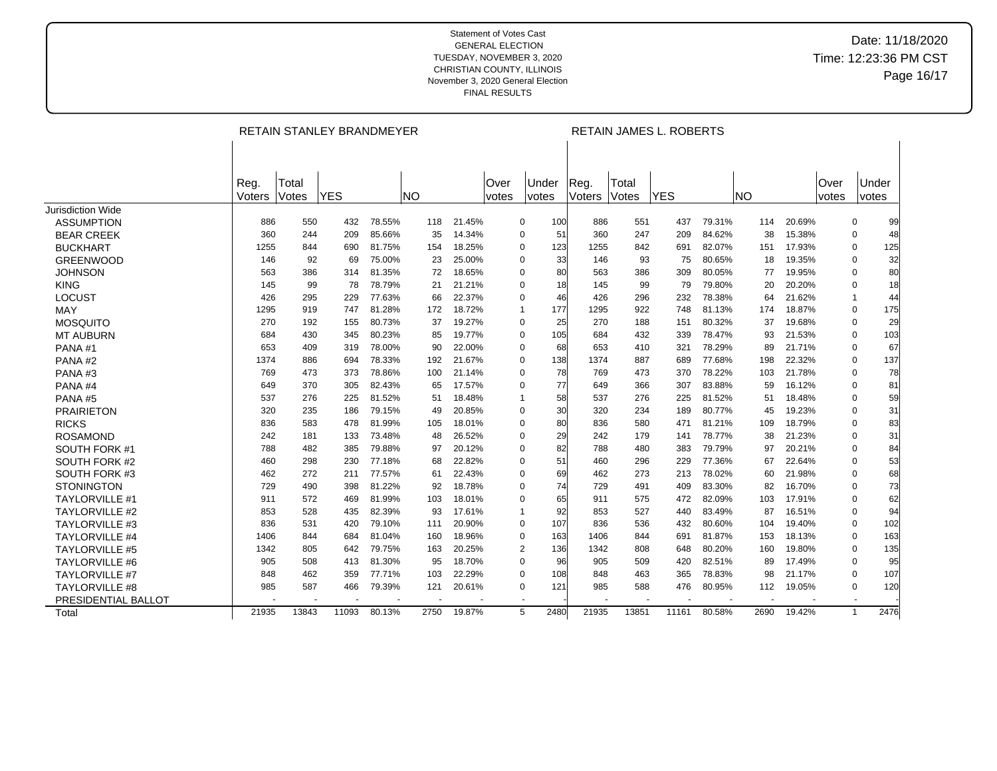|                       |        |       | RETAIN STANLEY BRANDMEYER |        |           |        |       | RETAIN JAMES L. ROBERTS |           |       |            |        |           |        |       |                      |  |
|-----------------------|--------|-------|---------------------------|--------|-----------|--------|-------|-------------------------|-----------|-------|------------|--------|-----------|--------|-------|----------------------|--|
|                       |        |       |                           |        |           |        |       |                         |           |       |            |        |           |        |       |                      |  |
|                       | Reg.   | Total |                           |        |           |        | Over  | Under                   | Reg.      | Total |            |        |           |        | Over  | Under                |  |
|                       | Voters | Votes | <b>YES</b>                |        | <b>NO</b> |        | votes | votes                   | Voters    | Votes | <b>YES</b> |        | <b>NO</b> |        | votes | votes                |  |
| Jurisdiction Wide     | 886    | 550   | 432                       | 78.55% | 118       | 21.45% |       | $\mathbf 0$<br>100      | 886       | 551   | 437        | 79.31% | 114       | 20.69% |       | $\mathbf 0$          |  |
| <b>ASSUMPTION</b>     |        |       |                           | 85.66% |           |        |       | 51<br>$\Omega$          |           |       |            |        |           |        |       | 99                   |  |
| <b>BEAR CREEK</b>     | 360    | 244   | 209                       |        | 35        | 14.34% |       |                         | 360       | 247   | 209        | 84.62% | 38        | 15.38% |       | 48<br>0              |  |
| <b>BUCKHART</b>       | 1255   | 844   | 690                       | 81.75% | 154       | 18.25% |       | 123<br>$\Omega$         | 1255      | 842   | 691        | 82.07% | 151       | 17.93% |       | 125<br>0             |  |
| <b>GREENWOOD</b>      | 146    | 92    | 69                        | 75.00% | 23        | 25.00% |       | $\Omega$                | 33<br>146 | 93    | 75         | 80.65% | 18        | 19.35% |       | 32<br>0              |  |
| <b>JOHNSON</b>        | 563    | 386   | 314                       | 81.35% | 72        | 18.65% |       | $\Omega$                | 80<br>563 | 386   | 309        | 80.05% | 77        | 19.95% |       | 80<br>0              |  |
| <b>KING</b>           | 145    | 99    | 78                        | 78.79% | 21        | 21.21% |       | $\mathbf 0$             | 18<br>145 | 99    | 79         | 79.80% | 20        | 20.20% |       | 18<br>0              |  |
| <b>LOCUST</b>         | 426    | 295   | 229                       | 77.63% | 66        | 22.37% |       | $\Omega$                | 46<br>426 | 296   | 232        | 78.38% | 64        | 21.62% |       | 44<br>$\mathbf{1}$   |  |
| MAY                   | 1295   | 919   | 747                       | 81.28% | 172       | 18.72% |       | 177<br>$\mathbf{1}$     | 1295      | 922   | 748        | 81.13% | 174       | 18.87% |       | 175<br>0             |  |
| <b>MOSQUITO</b>       | 270    | 192   | 155                       | 80.73% | 37        | 19.27% |       | 0<br>25                 | 270       | 188   | 151        | 80.32% | 37        | 19.68% |       | 29<br>0              |  |
| <b>MT AUBURN</b>      | 684    | 430   | 345                       | 80.23% | 85        | 19.77% |       | 105<br>$\mathbf 0$      | 684       | 432   | 339        | 78.47% | 93        | 21.53% |       | 103<br>$\mathbf 0$   |  |
| PANA#1                | 653    | 409   | 319                       | 78.00% | 90        | 22.00% |       | $\Omega$<br>68          | 653       | 410   | 321        | 78.29% | 89        | 21.71% |       | 67<br>0              |  |
| PANA <sub>#2</sub>    | 1374   | 886   | 694                       | 78.33% | 192       | 21.67% |       | 138<br>0                | 1374      | 887   | 689        | 77.68% | 198       | 22.32% |       | 137<br>0             |  |
| PANA#3                | 769    | 473   | 373                       | 78.86% | 100       | 21.14% |       | 0                       | 78<br>769 | 473   | 370        | 78.22% | 103       | 21.78% |       | 78<br>0              |  |
| PANA#4                | 649    | 370   | 305                       | 82.43% | 65        | 17.57% |       | 77<br>$\Omega$          | 649       | 366   | 307        | 83.88% | 59        | 16.12% |       | 81<br>0              |  |
| PANA#5                | 537    | 276   | 225                       | 81.52% | 51        | 18.48% |       | $\overline{1}$          | 58<br>537 | 276   | 225        | 81.52% | 51        | 18.48% |       | 59<br>0              |  |
| <b>PRAIRIETON</b>     | 320    | 235   | 186                       | 79.15% | 49        | 20.85% |       | 0                       | 30<br>320 | 234   | 189        | 80.77% | 45        | 19.23% |       | 31<br>0              |  |
| <b>RICKS</b>          | 836    | 583   | 478                       | 81.99% | 105       | 18.01% |       | 0                       | 80<br>836 | 580   | 471        | 81.21% | 109       | 18.79% |       | 83<br>0              |  |
| <b>ROSAMOND</b>       | 242    | 181   | 133                       | 73.48% | 48        | 26.52% |       | 0                       | 29<br>242 | 179   | 141        | 78.77% | 38        | 21.23% |       | 31<br>0              |  |
| SOUTH FORK #1         | 788    | 482   | 385                       | 79.88% | 97        | 20.12% |       | $\Omega$                | 82<br>788 | 480   | 383        | 79.79% | 97        | 20.21% |       | 0<br>84              |  |
| <b>SOUTH FORK #2</b>  | 460    | 298   | 230                       | 77.18% | 68        | 22.82% |       | 51<br>$\Omega$          | 460       | 296   | 229        | 77.36% | 67        | 22.64% |       | 53<br>0              |  |
| SOUTH FORK #3         | 462    | 272   | 211                       | 77.57% | 61        | 22.43% |       | $\Omega$                | 69<br>462 | 273   | 213        | 78.02% | 60        | 21.98% |       | 68<br>0              |  |
| <b>STONINGTON</b>     | 729    | 490   | 398                       | 81.22% | 92        | 18.78% |       | $\Omega$                | 74<br>729 | 491   | 409        | 83.30% | 82        | 16.70% |       | 73<br>0              |  |
| <b>TAYLORVILLE #1</b> | 911    | 572   | 469                       | 81.99% | 103       | 18.01% |       | $\Omega$                | 65<br>911 | 575   | 472        | 82.09% | 103       | 17.91% |       | 62<br>0              |  |
| <b>TAYLORVILLE #2</b> | 853    | 528   | 435                       | 82.39% | 93        | 17.61% |       | -1                      | 92<br>853 | 527   | 440        | 83.49% | 87        | 16.51% |       | 94<br>0              |  |
| <b>TAYLORVILLE #3</b> | 836    | 531   | 420                       | 79.10% | 111       | 20.90% |       | $\mathbf 0$<br>107      | 836       | 536   | 432        | 80.60% | 104       | 19.40% |       | 102<br>0             |  |
| <b>TAYLORVILLE #4</b> | 1406   | 844   | 684                       | 81.04% | 160       | 18.96% |       | 0<br>163                | 1406      | 844   | 691        | 81.87% | 153       | 18.13% |       | 163<br>0             |  |
| <b>TAYLORVILLE #5</b> | 1342   | 805   | 642                       | 79.75% | 163       | 20.25% |       | $\overline{2}$<br>136   | 1342      | 808   | 648        | 80.20% | 160       | 19.80% |       | 135<br>0             |  |
| <b>TAYLORVILLE #6</b> | 905    | 508   | 413                       | 81.30% | 95        | 18.70% |       | 0<br>96                 | 905       | 509   | 420        | 82.51% | 89        | 17.49% |       | 95<br>0              |  |
| <b>TAYLORVILLE #7</b> | 848    | 462   | 359                       | 77.71% | 103       | 22.29% |       | $\Omega$<br>108         | 848       | 463   | 365        | 78.83% | 98        | 21.17% |       | 107<br>0             |  |
| <b>TAYLORVILLE #8</b> | 985    | 587   | 466                       | 79.39% | 121       | 20.61% |       | 121<br>0                | 985       | 588   | 476        | 80.95% | 112       | 19.05% |       | 120<br>0             |  |
| PRESIDENTIAL BALLOT   |        |       |                           |        |           |        |       |                         |           |       |            |        |           |        |       | $\overline{a}$       |  |
| Total                 | 21935  | 13843 | 11093                     | 80.13% | 2750      | 19.87% |       | 5<br>2480               | 21935     | 13851 | 11161      | 80.58% | 2690      | 19.42% |       | $\mathbf{1}$<br>2476 |  |